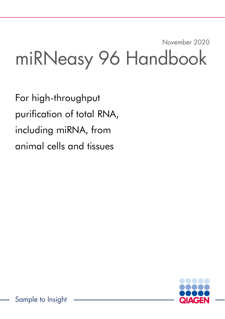# November 2020 miRNeasy 96 Handbook

For high-throughput purification of total RNA, including miRNA, from animal cells and tissues

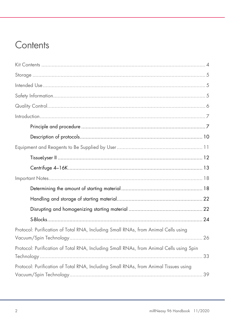## Contents

| Protocol: Purification of Total RNA, Including Small RNAs, from Animal Cells using      |  |
|-----------------------------------------------------------------------------------------|--|
| Protocol: Purification of Total RNA, Including Small RNAs, from Animal Cells using Spin |  |
| Protocol: Purification of Total RNA, Including Small RNAs, from Animal Tissues using    |  |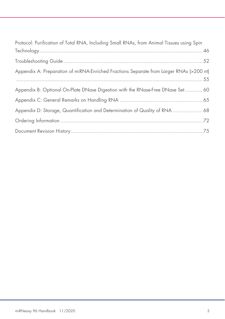| Protocol: Purification of Total RNA, Including Small RNAs, from Animal Tissues using Spin |
|-------------------------------------------------------------------------------------------|
|                                                                                           |
|                                                                                           |
| Appendix A: Preparation of miRNA-Enriched Fractions Separate from Larger RNAs (>200 nt)   |
| Appendix B: Optional On-Plate DNase Digestion with the RNase-Free DNase Set 60            |
|                                                                                           |
| Appendix D: Storage, Quantification and Determination of Quality of RNA  68               |
|                                                                                           |
|                                                                                           |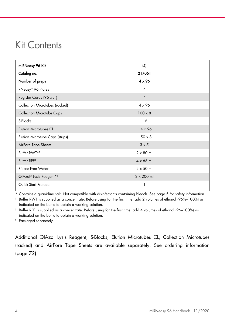### Kit Contents

| miRNeasy 96 Kit                  | (4)                    |  |
|----------------------------------|------------------------|--|
| Catalog no.                      | 217061                 |  |
| Number of preps                  | 4 x 96                 |  |
| RNeasy® 96 Plates                | $\boldsymbol{\Lambda}$ |  |
| Register Cards (96-well)         | $\overline{4}$         |  |
| Collection Microtubes (racked)   | $4 \times 96$          |  |
| <b>Collection Microtube Caps</b> | $100 \times 8$         |  |
| S-Blocks                         | 6                      |  |
| <b>Elution Microtubes CL</b>     | $4 \times 96$          |  |
| Elution Microtube Caps (strips)  | $50 \times 8$          |  |
| AirPore Tape Sheets              | $3 \times 5$           |  |
| Buffer RWT* <sup>†</sup>         | $2 \times 80$ ml       |  |
| Buffer RPE <sup>#</sup>          | $4 \times 65$ ml       |  |
| <b>RNase-Free Water</b>          | $2 \times 50$ ml       |  |
| QIAzol® Lysis Reagent*§          | $2 \times 200$ ml      |  |
| Quick-Start Protocol             | 1                      |  |

\* Contains a guanidine salt. Not compatible with disinfectants containing bleach. See page 5 for safety information.

† Buffer RWT is supplied as a concentrate. Before using for the first time, add 2 volumes of ethanol (96%–100%) as indicated on the bottle to obtain a working solution.

‡ Buffer RPE is supplied as a concentrate. Before using for the first time, add 4 volumes of ethanol (96–100%) as indicated on the bottle to obtain a working solution.

§ Packaged separately.

Additional QIAzol Lysis Reagent, S-Blocks, Elution Microtubes CL, Collection Microtubes (racked) and AirPore Tape Sheets are available separately. See ordering information (page 72).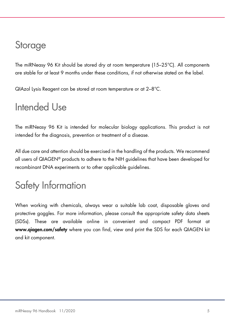## **Storage**

The miRNeasy 96 Kit should be stored dry at room temperature (15–25°C). All components are stable for at least 9 months under these conditions, if not otherwise stated on the label.

QIAzol Lysis Reagent can be stored at room temperature or at 2–8°C.

## Intended Use

The miRNeasy 96 Kit is intended for molecular biology applications. This product is not intended for the diagnosis, prevention or treatment of a disease.

All due care and attention should be exercised in the handling of the products. We recommend all users of QIAGEN® products to adhere to the NIH guidelines that have been developed for recombinant DNA experiments or to other applicable guidelines.

## Safety Information

When working with chemicals, always wear a suitable lab coat, disposable gloves and protective goggles. For more information, please consult the appropriate safety data sheets (SDSs). These are available online in convenient and compact PDF format at www.qiagen.com/safety where you can find, view and print the SDS for each QIAGEN kit and kit component.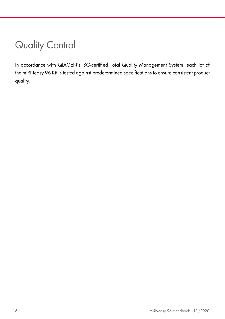## Quality Control

In accordance with QIAGEN's ISO-certified Total Quality Management System, each lot of the miRNeasy 96 Kit is tested against predetermined specifications to ensure consistent product quality.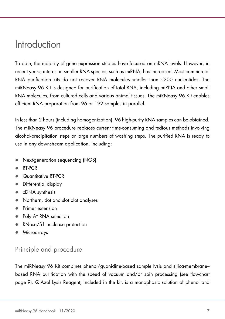### Introduction

To date, the majority of gene expression studies have focused on mRNA levels. However, in recent years, interest in smaller RNA species, such as miRNA, has increased. Most commercial RNA purification kits do not recover RNA molecules smaller than ~200 nucleotides. The miRNeasy 96 Kit is designed for purification of total RNA, including miRNA and other small RNA molecules, from cultured cells and various animal tissues. The miRNeasy 96 Kit enables efficient RNA preparation from 96 or 192 samples in parallel.

In less than 2 hours (including homogenization), 96 high-purity RNA samples can be obtained. The miRNeasy 96 procedure replaces current time-consuming and tedious methods involving alcohol-precipitation steps or large numbers of washing steps. The purified RNA is ready to use in any downstream application, including:

- Next-generation sequencing (NGS)
- RT-PCR
- Quantitative RT-PCR
- Differential display
- cDNA synthesis
- Northern, dot and slot blot analyses
- Primer extension
- Poly A<sup>+</sup> RNA selection
- RNase/S1 nuclease protection
- Microarrays

### Principle and procedure

The miRNeasy 96 Kit combines phenol/guanidine-based sample lysis and silica-membrane– based RNA purification with the speed of vacuum and/or spin processing (see flowchart page 9). QIAzol Lysis Reagent, included in the kit, is a monophasic solution of phenol and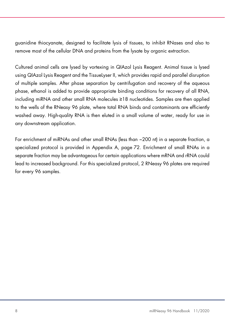guanidine thiocyanate, designed to facilitate lysis of tissues, to inhibit RNases and also to remove most of the cellular DNA and proteins from the lysate by organic extraction.

Cultured animal cells are lysed by vortexing in QIAzol Lysis Reagent. Animal tissue is lysed using QIAzol Lysis Reagent and the TissueLyser II, which provides rapid and parallel disruption of multiple samples. After phase separation by centrifugation and recovery of the aqueous phase, ethanol is added to provide appropriate binding conditions for recovery of all RNA, including miRNA and other small RNA molecules ≥18 nucleotides. Samples are then applied to the wells of the RNeasy 96 plate, where total RNA binds and contaminants are efficiently washed away. High-quality RNA is then eluted in a small volume of water, ready for use in any downstream application.

For enrichment of miRNAs and other small RNAs (less than ~200 nt) in a separate fraction, a specialized protocol is provided in Appendix A, page 72. Enrichment of small RNAs in a separate fraction may be advantageous for certain applications where mRNA and rRNA could lead to increased background. For this specialized protocol, 2 RNeasy 96 plates are required for every 96 samples.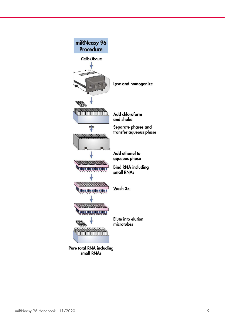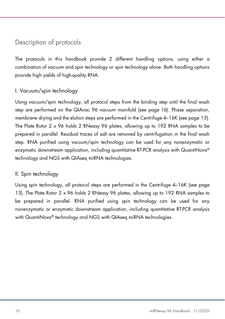### Description of protocols

The protocols in this handbook provide 2 different handling options, using either a combination of vacuum and spin technology or spin technology alone. Both handling options provide high yields of high-quality RNA.

#### I. Vacuum/spin technology

Using vacuum/spin technology, all protocol steps from the binding step until the final wash step are performed on the QIAvac 96 vacuum manifold (see page 16). Phase separation, membrane drying and the elution steps are performed in the Centrifuge 4–16K (see page 13). The Plate Rotor 2 x 96 holds 2 RNeasy 96 plates, allowing up to 192 RNA samples to be prepared in parallel. Residual traces of salt are removed by centrifugation in the final wash step. RNA purified using vacuum/spin technology can be used for any nonenzymatic or enzymatic downstream application, including quantitative RT-PCR analysis with QuantiNova® technology and NGS with QIAseq miRNA technologies.

#### II. Spin technology

Using spin technology, all protocol steps are performed in the Centrifuge 4–16K (see page 13). The Plate Rotor 2 x 96 holds 2 RNeasy 96 plates, allowing up to 192 RNA samples to be prepared in parallel. RNA purified using spin technology can be used for any nonenzymatic or enzymatic downstream application, including quantitative RT-PCR analysis with QuantiNova<sup>®</sup> technology and NGS with QIAseq miRNA technologies.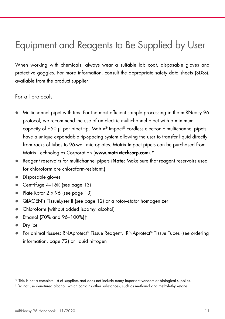## Equipment and Reagents to Be Supplied by User

When working with chemicals, always wear a suitable lab coat, disposable gloves and protective goggles. For more information, consult the appropriate safety data sheets (SDSs), available from the product supplier.

#### For all protocols

- Multichannel pipet with tips. For the most efficient sample processing in the miRNeasy 96 protocol, we recommend the use of an electric multichannel pipet with a minimum capacity of 650 µl per pipet tip. Matrix® Impact® cordless electronic multichannel pipets have a unique expandable tip-spacing system allowing the user to transfer liquid directly from racks of tubes to 96-well microplates. Matrix Impact pipets can be purchased from Matrix Technologies Corporation (www.matrixtechcorp.com).\*
- Reagent reservoirs for multichannel pipets (Note: Make sure that reagent reservoirs used for chloroform are chloroform-resistant.)
- Disposable gloves
- Centrifuge 4-16K (see page 13)
- Plate Rotor 2 x 96 (see page 13)
- QIAGEN's TissueLyser II (see page 12) or a rotor–stator homogenizer
- Chloroform (without added isoamyl alcohol)
- Ethanol (70% and 96–100%)†
- Dry ice
- For animal tissues: RNAprotect® Tissue Reagent, RNAprotect® Tissue Tubes (see ordering information, page 72) or liquid nitrogen

<sup>\*</sup> This is not a complete list of suppliers and does not include many important vendors of biological supplies.

<sup>†</sup> Do not use denatured alcohol, which contains other substances, such as methanol and methylethylketone.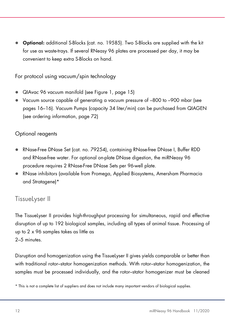● Optional: additional S-Blocks (cat. no. 19585). Two S-Blocks are supplied with the kit for use as waste-trays. If several RNeasy 96 plates are processed per day, it may be convenient to keep extra S-Blocks on hand.

For protocol using vacuum/spin technology

- QIAvac 96 vacuum manifold (see Figure 1, page 15)
- Vacuum source capable of generating a vacuum pressure of –800 to –900 mbar (see pages 16–16). Vacuum Pumps (capacity 34 liter/min) can be purchased from QIAGEN (see ordering information, page 72)

#### Optional reagents

- RNase-Free DNase Set (cat. no. 79254), containing RNase-free DNase I, Buffer RDD and RNase-free water. For optional on-plate DNase digestion, the miRNeasy 96 procedure requires 2 RNase-Free DNase Sets per 96-well plate.
- RNase inhibitors (available from Promega, Applied Biosystems, Amersham Pharmacia and Stratagene)\*

#### TissueLyser II

The TissueLyser II provides high-throughput processing for simultaneous, rapid and effective disruption of up to 192 biological samples, including all types of animal tissue. Processing of up to 2 x 96 samples takes as little as 2–5 minutes.

Disruption and homogenization using the TissueLyser II gives yields comparable or better than with traditional rotor–stator homogenization methods. With rotor–stator homogenization, the samples must be processed individually, and the rotor–stator homogenizer must be cleaned

<sup>\*</sup> This is not a complete list of suppliers and does not include many important vendors of biological supplies.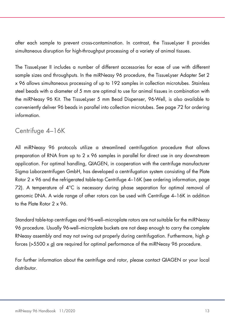after each sample to prevent cross-contamination. In contrast, the TissueLyser II provides simultaneous disruption for high-throughput processing of a variety of animal tissues.

The TissueLyser II includes a number of different accessories for ease of use with different sample sizes and throughputs. In the miRNeasy 96 procedure, the TissueLyser Adapter Set 2 x 96 allows simultaneous processing of up to 192 samples in collection microtubes. Stainless steel beads with a diameter of 5 mm are optimal to use for animal tissues in combination with the miRNeasy 96 Kit. The TissueLyser 5 mm Bead Dispenser, 96-Well, is also available to conveniently deliver 96 beads in parallel into collection microtubes. See page 72 for ordering information.

### Centrifuge 4–16K

All miRNeasy 96 protocols utilize a streamlined centrifugation procedure that allows preparation of RNA from up to 2 x 96 samples in parallel for direct use in any downstream application. For optimal handling, QIAGEN, in cooperation with the centrifuge manufacturer Sigma Laborzentrifugen GmbH, has developed a centrifugation system consisting of the Plate Rotor 2 x 96 and the refrigerated table-top Centrifuge 4–16K (see ordering information, page 72). A temperature of 4°C is necessary during phase separation for optimal removal of genomic DNA. A wide range of other rotors can be used with Centrifuge 4–16K in addition to the Plate Rotor 2 x 96.

Standard table-top centrifuges and 96-well–microplate rotors are not suitable for the miRNeasy 96 procedure. Usually 96-well–microplate buckets are not deep enough to carry the complete RNeasy assembly and may not swing out properly during centrifugation. Furthermore, high gforces ( $>5500 \times g$ ) are required for optimal performance of the miRNeasy 96 procedure.

For further information about the centrifuge and rotor, please contact QIAGEN or your local distributor.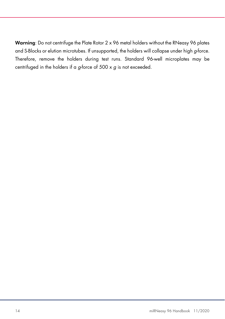Warning: Do not centrifuge the Plate Rotor 2 x 96 metal holders without the RNeasy 96 plates and S-Blocks or elution microtubes. If unsupported, the holders will collapse under high g-force. Therefore, remove the holders during test runs. Standard 96-well microplates may be centrifuged in the holders if a g-force of 500 x g is not exceeded.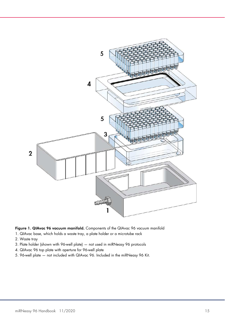

Figure 1. QIAvac 96 vacuum manifold. Components of the QIAvac 96 vacuum manifold

- 1. QIAvac base, which holds a waste tray, a plate holder or a microtube rack
- 2. Waste tray
- 3. Plate holder (shown with 96-well plate) not used in miRNeasy 96 protocols
- 4. QIAvac 96 top plate with aperture for 96-well plate
- 5. 96-well plate not included with QIAvac 96. Included in the miRNeasy 96 Kit.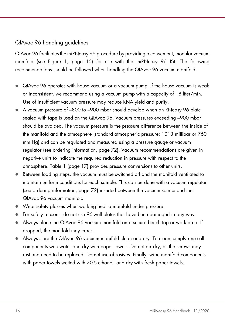#### QIAvac 96 handling guidelines

QIAvac 96 facilitates the miRNeasy 96 procedure by providing a convenient, modular vacuum manifold (see Figure 1, page 15) for use with the miRNeasy 96 Kit. The following recommendations should be followed when handling the QIAvac 96 vacuum manifold.

- QIAvac 96 operates with house vacuum or a vacuum pump. If the house vacuum is weak or inconsistent, we recommend using a vacuum pump with a capacity of 18 liter/min. Use of insufficient vacuum pressure may reduce RNA yield and purity.
- A vacuum pressure of –800 to –900 mbar should develop when an RNeasy 96 plate sealed with tape is used on the QIAvac 96. Vacuum pressures exceeding –900 mbar should be avoided. The vacuum pressure is the pressure difference between the inside of the manifold and the atmosphere (standard atmospheric pressure: 1013 millibar or 760 mm Hg) and can be regulated and measured using a pressure gauge or vacuum regulator (see ordering information, page 72). Vacuum recommendations are given in negative units to indicate the required reduction in pressure with respect to the atmosphere. Table 1 (page 17) provides pressure conversions to other units.
- Between loading steps, the vacuum must be switched off and the manifold ventilated to maintain uniform conditions for each sample. This can be done with a vacuum regulator (see ordering information, page 72) inserted between the vacuum source and the QIAvac 96 vacuum manifold.
- Wear safety glasses when working near a manifold under pressure.
- For safety reasons, do not use 96-well plates that have been damaged in any way.
- Always place the QIAvac 96 vacuum manifold on a secure bench top or work area. If dropped, the manifold may crack.
- Always store the QIAvac 96 vacuum manifold clean and dry. To clean, simply rinse all components with water and dry with paper towels. Do not air dry, as the screws may rust and need to be replaced. Do not use abrasives. Finally, wipe manifold components with paper towels wetted with 70% ethanol, and dry with fresh paper towels.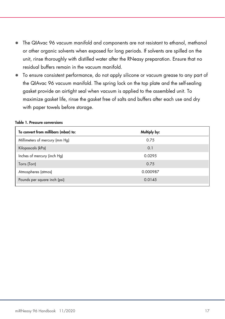- The QIAvac 96 vacuum manifold and components are not resistant to ethanol, methanol or other organic solvents when exposed for long periods. If solvents are spilled on the unit, rinse thoroughly with distilled water after the RNeasy preparation. Ensure that no residual buffers remain in the vacuum manifold.
- To ensure consistent performance, do not apply silicone or vacuum grease to any part of the QIAvac 96 vacuum manifold. The spring lock on the top plate and the self-sealing gasket provide an airtight seal when vacuum is applied to the assembled unit. To maximize gasket life, rinse the gasket free of salts and buffers after each use and dry with paper towels before storage.

| To convert from millibars (mbar) to: | Multiply by: |  |
|--------------------------------------|--------------|--|
| Millimeters of mercury (mm Hg)       | 0.75         |  |
| Kilopascals (kPa)                    | 0.1          |  |
| Inches of mercury (inch Hg)          | 0.0295       |  |
| Torrs (Torr)                         | 0.75         |  |
| Atmospheres (atmos)                  | 0.000987     |  |
| Pounds per square inch (psi)         | 0.0145       |  |

#### Table 1. Pressure conversions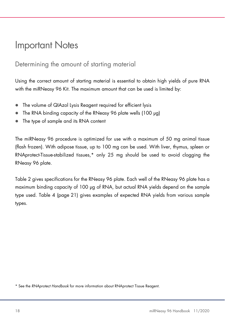### Important Notes

### Determining the amount of starting material

Using the correct amount of starting material is essential to obtain high yields of pure RNA with the miRNeasy 96 Kit. The maximum amount that can be used is limited by:

- The volume of QIAzol Lysis Reagent required for efficient lysis
- The RNA binding capacity of the RNeasy 96 plate wells (100 µg)
- The type of sample and its RNA content

The miRNeasy 96 procedure is optimized for use with a maximum of 50 mg animal tissue (flash frozen). With adipose tissue, up to 100 mg can be used. With liver, thymus, spleen or RNAprotect-Tissue-stabilized tissues,\* only 25 mg should be used to avoid clogging the RNeasy 96 plate.

Table 2 gives specifications for the RNeasy 96 plate. Each well of the RNeasy 96 plate has a maximum binding capacity of 100 µg of RNA, but actual RNA yields depend on the sample type used. Table 4 (page 21) gives examples of expected RNA yields from various sample types.

<sup>\*</sup> See the RNAprotect Handbook for more information about RNAprotect Tissue Reagent.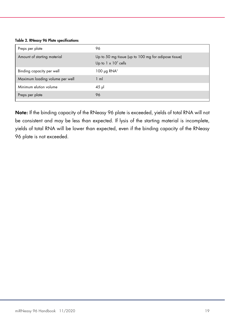Table 2. RNeasy 96 Plate specifications

| Preps per plate                 | 96                                                                                  |
|---------------------------------|-------------------------------------------------------------------------------------|
| Amount of starting material     | Up to 50 mg tissue (up to 100 mg for adipose tissue)<br>Up to $1 \times 10^7$ cells |
| Binding capacity per well       | 100 $\mu$ g RNA <sup>†</sup>                                                        |
| Maximum loading volume per well | $1 \text{ ml}$                                                                      |
| Minimum elution volume          | $45$ µ                                                                              |
| Preps per plate                 | 96                                                                                  |
|                                 |                                                                                     |

Note: If the binding capacity of the RNeasy 96 plate is exceeded, yields of total RNA will not be consistent and may be less than expected. If lysis of the starting material is incomplete, yields of total RNA will be lower than expected, even if the binding capacity of the RNeasy 96 plate is not exceeded.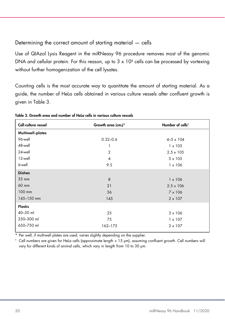Determining the correct amount of starting material — cells

Use of QIAzol Lysis Reagent in the miRNeasy 96 procedure removes most of the genomic DNA and cellular protein. For this reason, up to 3 x 10<sup>6</sup> cells can be processed by vortexing without further homogenization of the cell lysates.

Counting cells is the most accurate way to quantitate the amount of starting material. As a guide, the number of HeLa cells obtained in various culture vessels after confluent growth is given in Table 3.

| Cell-culture vessel | Growth area (cm2)* | Number of cells <sup>t</sup> |
|---------------------|--------------------|------------------------------|
| Multiwell-plates    |                    |                              |
| 96-well             | $0.32 - 0.6$       | $4 - 5 \times 104$           |
| 48-well             | 1                  | $1 \times 105$               |
| 24-well             | $\overline{2}$     | $2.5 \times 105$             |
| 12-well             | $\overline{4}$     | $5 \times 105$               |
| 6-well              | 9.5                | $1 \times 106$               |
| <b>Dishes</b>       |                    |                              |
| 35 mm               | 8                  | $1 \times 106$               |
| 60 mm               | 21                 | $2.5 \times 106$             |
| 100 mm              | 56                 | $7 \times 106$               |
| 145-150 mm          | 145                | $2 \times 107$               |
| <b>Flasks</b>       |                    |                              |
| 40-50 ml            | 25                 | $3 \times 106$               |
| 250-300 ml          | 75                 | $1 \times 107$               |
| 650-750 ml          | 162-175            | $2 \times 107$               |

Table 3. Growth area and number of HeLa cells in various culture vessels

\* Per well, if multiwell plates are used; varies slightly depending on the supplier.

† Cell numbers are given for HeLa cells (approximate length = 15 µm), assuming confluent growth. Cell numbers will vary for different kinds of animal cells, which vary in length from 10 to 30 µm.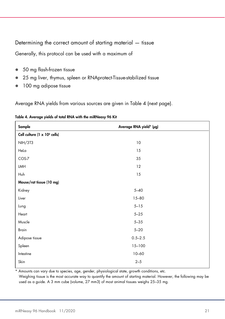Determining the correct amount of starting material — tissue

Generally, this protocol can be used with a maximum of

- 50 mg flash-frozen tissue
- 25 mg liver, thymus, spleen or RNAprotect-Tissue-stabilized tissue
- 100 mg adipose tissue

Average RNA yields from various sources are given in Table 4 (next page).

| Sample                                   | Average RNA yield* (µg) |
|------------------------------------------|-------------------------|
| Cell culture (1 x 10 <sup>6</sup> cells) |                         |
| <b>NIH/3T3</b>                           | 10                      |
| Hela                                     | 15                      |
| COS-7                                    | 35                      |
| LMH                                      | 12                      |
| Huh                                      | 15                      |
| Mouse/rat tissue (10 mg)                 |                         |
| Kidney                                   | $5 - 40$                |
| Liver                                    | $15 - 80$               |
| Lung                                     | $5 - 15$                |
| Heart                                    | $5 - 25$                |
| Muscle                                   | $5 - 35$                |
| <b>Brain</b>                             | $5 - 20$                |
| Adipose tissue                           | $0.5 - 2.5$             |
| Spleen                                   | $15 - 100$              |
| Intestine                                | $10 - 60$               |
| Skin                                     | $2 - 5$                 |

|  |  | Table 4. Average yields of total RNA with the miRNeasy 96 Kit |  |
|--|--|---------------------------------------------------------------|--|
|--|--|---------------------------------------------------------------|--|

\* Amounts can vary due to species, age, gender, physiological state, growth conditions, etc.

Weighing tissue is the most accurate way to quantify the amount of starting material. However, the following may be used as a guide. A 3 mm cube (volume, 27 mm3) of most animal tissues weighs 25–35 mg.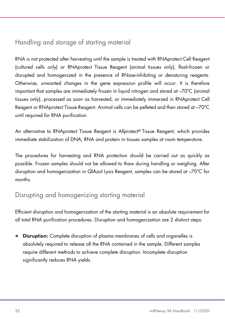### Handling and storage of starting material

RNA is not protected after harvesting until the sample is treated with RNAprotect Cell Reagent (cultured cells only) or RNAprotect Tissue Reagent (animal tissues only), flash-frozen or disrupted and homogenized in the presence of RNase-inhibiting or denaturing reagents. Otherwise, unwanted changes in the gene expression profile will occur. It is therefore important that samples are immediately frozen in liquid nitrogen and stored at –70ºC (animal tissues only), processed as soon as harvested, or immediately immersed in RNAprotect Cell Reagent or RNAprotect Tissue Reagent. Animal cells can be pelleted and then stored at –70ºC until required for RNA purification.

An alternative to RNAprotect Tissue Reagent is Allprotect® Tissue Reagent, which provides immediate stabilization of DNA, RNA and protein in tissues samples at room temperature.

The procedures for harvesting and RNA protection should be carried out as quickly as possible. Frozen samples should not be allowed to thaw during handling or weighing. After disruption and homogenization in QIAzol Lysis Reagent, samples can be stored at –70ºC for months.

### Disrupting and homogenizing starting material

Efficient disruption and homogenization of the starting material is an absolute requirement for all total RNA purification procedures. Disruption and homogenization are 2 distinct steps:

**Disruption:** Complete disruption of plasma membranes of cells and organelles is absolutely required to release all the RNA contained in the sample. Different samples require different methods to achieve complete disruption. Incomplete disruption significantly reduces RNA yields.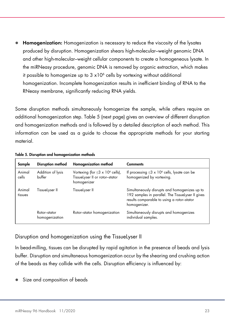Homogenization: Homogenization is necessary to reduce the viscosity of the lysates produced by disruption. Homogenization shears high-molecular–weight genomic DNA and other high-molecular–weight cellular components to create a homogeneous lysate. In the miRNeasy procedure, genomic DNA is removed by organic extraction, which makes it possible to homogenize up to  $3 \times 10^6$  cells by vortexing without additional homogenization. Incomplete homogenization results in inefficient binding of RNA to the RNeasy membrane, significantly reducing RNA yields.

Some disruption methods simultaneously homogenize the sample, while others require an additional homogenization step. Table 5 (next page) gives an overview of different disruption and homogenization methods and is followed by a detailed description of each method. This information can be used as a guide to choose the appropriate methods for your starting material.

| Sample            | Disruption method              | Homogenization method                                                                        | <b>Comments</b>                                                                                                                                                  |
|-------------------|--------------------------------|----------------------------------------------------------------------------------------------|------------------------------------------------------------------------------------------------------------------------------------------------------------------|
| Animal<br>cells   | Addition of lysis<br>buffer    | Vortexing (for $\leq 3 \times 10^6$ cells),<br>TissueLyser II or rotor-stator<br>homogenizer | If processing $\leq 3 \times 10^6$ cells, lysate can be<br>homogenized by vortexing.                                                                             |
| Animal<br>tissues | TissueLyser II                 | TissueLyser II                                                                               | Simultaneously disrupts and homogenizes up to<br>192 samples in parallel. The TissueLyser II gives<br>results comparable to using a rotor-stator<br>homogenizer. |
|                   | Rotor-stator<br>homogenization | Rotor-stator homogenization                                                                  | Simultaneously disrupts and homogenizes<br>individual samples.                                                                                                   |

Table 5. Disruption and homogenization methods

#### Disruption and homogenization using the TissueLyser II

In bead-milling, tissues can be disrupted by rapid agitation in the presence of beads and lysis buffer. Disruption and simultaneous homogenization occur by the shearing and crushing action of the beads as they collide with the cells. Disruption efficiency is influenced by:

Size and composition of beads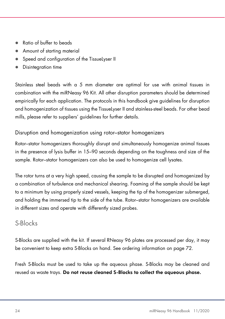- Ratio of buffer to beads
- Amount of starting material
- Speed and configuration of the TissueLyser II
- Disintegration time

Stainless steel beads with a 5 mm diameter are optimal for use with animal tissues in combination with the miRNeasy 96 Kit. All other disruption parameters should be determined empirically for each application. The protocols in this handbook give guidelines for disruption and homogenization of tissues using the TissueLyser II and stainless-steel beads. For other bead mills, please refer to suppliers' guidelines for further details.

#### Disruption and homogenization using rotor–stator homogenizers

Rotor–stator homogenizers thoroughly disrupt and simultaneously homogenize animal tissues in the presence of lysis buffer in 15–90 seconds depending on the toughness and size of the sample. Rotor–stator homogenizers can also be used to homogenize cell lysates.

The rotor turns at a very high speed, causing the sample to be disrupted and homogenized by a combination of turbulence and mechanical shearing. Foaming of the sample should be kept to a minimum by using properly sized vessels, keeping the tip of the homogenizer submerged, and holding the immersed tip to the side of the tube. Rotor–stator homogenizers are available in different sizes and operate with differently sized probes.

### S-Blocks

S-Blocks are supplied with the kit. If several RNeasy 96 plates are processed per day, it may be convenient to keep extra S-Blocks on hand. See ordering information on page 72.

Fresh S-Blocks must be used to take up the aqueous phase. S-Blocks may be cleaned and reused as waste trays. Do not reuse cleaned S-Blocks to collect the aqueous phase.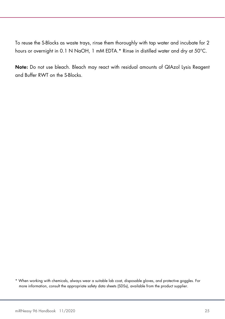To reuse the S-Blocks as waste trays, rinse them thoroughly with tap water and incubate for 2 hours or overnight in 0.1 N NaOH, 1 mM EDTA.\* Rinse in distilled water and dry at 50°C.

Note: Do not use bleach. Bleach may react with residual amounts of QIAzol Lysis Reagent and Buffer RWT on the S-Blocks.

<sup>\*</sup> When working with chemicals, always wear a suitable lab coat, disposable gloves, and protective goggles. For more information, consult the appropriate safety data sheets (SDSs), available from the product supplier.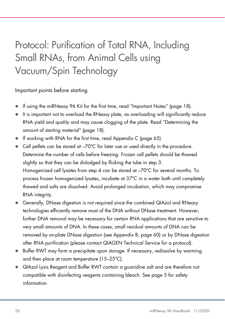## Protocol: Purification of Total RNA, Including Small RNAs, from Animal Cells using Vacuum/Spin Technology

Important points before starting

- If using the miRNeasy 96 Kit for the first time, read "Important Notes" (page 18).
- It is important not to overload the RNeasy plate, as overloading will significantly reduce RNA yield and quality and may cause clogging of the plate. Read "Determining the amount of starting material" (page 18).
- If working with RNA for the first time, read Appendix C (page 65).
- Cell pellets can be stored at –70°C for later use or used directly in the procedure. Determine the number of cells before freezing. Frozen cell pellets should be thawed slightly so that they can be dislodged by flicking the tube in step 3. Homogenized cell lysates from step 4 can be stored at  $-70^{\circ}$ C for several months. To process frozen homogenized lysates, incubate at 37ºC in a water bath until completely thawed and salts are dissolved. Avoid prolonged incubation, which may compromise RNA integrity.
- Generally, DNase digestion is not required since the combined QIAzol and RNeasy technologies efficiently remove most of the DNA without DNase treatment. However, further DNA removal may be necessary for certain RNA applications that are sensitive to very small amounts of DNA. In these cases, small residual amounts of DNA can be removed by on-plate DNase digestion (see Appendix B, page 60) or by DNase digestion after RNA purification (please contact QIAGEN Technical Service for a protocol).
- Buffer RWT may form a precipitate upon storage. If necessary, redissolve by warming and then place at room temperature (15–25ºC).
- QIAzol Lysis Reagent and Buffer RWT contain a guanidine salt and are therefore not compatible with disinfecting reagents containing bleach. See page 5 for safety information.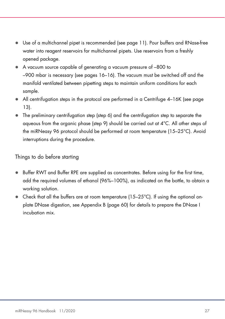- Use of a multichannel pipet is recommended (see page 11). Pour buffers and RNase-free water into reagent reservoirs for multichannel pipets. Use reservoirs from a freshly opened package.
- A vacuum source capable of generating a vacuum pressure of –800 to –900 mbar is necessary (see pages 16–16). The vacuum must be switched off and the manifold ventilated between pipetting steps to maintain uniform conditions for each sample.
- All centrifugation steps in the protocol are performed in a Centrifuge 4–16K (see page 13).
- The preliminary centrifugation step (step 6) and the centrifugation step to separate the aqueous from the organic phase (step 9) should be carried out at 4°C. All other steps of the miRNeasy 96 protocol should be performed at room temperature (15–25°C). Avoid interruptions during the procedure.

#### Things to do before starting

- **Buffer RWT and Buffer RPE are supplied as concentrates. Before using for the first time,** add the required volumes of ethanol (96%–100%), as indicated on the bottle, to obtain a working solution.
- $\bullet$  Check that all the buffers are at room temperature (15–25 $\degree$ C). If using the optional onplate DNase digestion, see Appendix B (page 60) for details to prepare the DNase I incubation mix.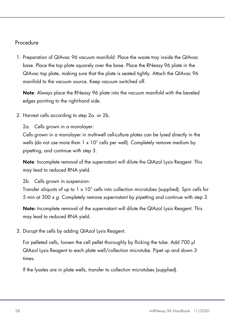#### Procedure

1. Preparation of QIAvac 96 vacuum manifold: Place the waste tray inside the QIAvac base. Place the top plate squarely over the base. Place the RNeasy 96 plate in the QIAvac top plate, making sure that the plate is seated tightly. Attach the QIAvac 96 manifold to the vacuum source. Keep vacuum switched off.

Note: Always place the RNeasy 96 plate into the vacuum manifold with the beveled edges pointing to the right-hand side.

2. Harvest cells according to step 2a. or 2b.

2a. Cells grown in a monolayer:

Cells grown in a monolayer in multiwell cell-culture plates can be lysed directly in the wells (do not use more than  $1 \times 10^7$  cells per well). Completely remove medium by pipetting, and continue with step 3.

Note: Incomplete removal of the supernatant will dilute the QIAzol Lysis Reagent. This may lead to reduced RNA yield.

2b. Cells grown in suspension:

Transfer aliquots of up to 1 x 10<sup>7</sup> cells into collection microtubes (supplied). Spin cells for 5 min at 300 x g. Completely remove supernatant by pipetting and continue with step 3.

Note: Incomplete removal of the supernatant will dilute the QIAzol Lysis Reagent. This may lead to reduced RNA yield.

3. Disrupt the cells by adding QIAzol Lysis Reagent.

For pelleted cells, loosen the cell pellet thoroughly by flicking the tube. Add 700 µl QIAzol Lysis Reagent to each plate well/collection microtube. Pipet up and down 3 times.

If the lysates are in plate wells, transfer to collection microtubes (supplied).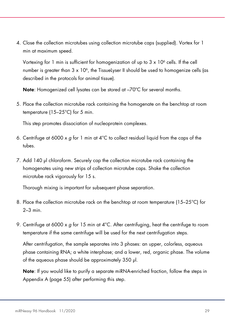4. Close the collection microtubes using collection microtube caps (supplied). Vortex for 1 min at maximum speed.

Vortexing for 1 min is sufficient for homogenization of up to 3 x 10<sup>6</sup> cells. If the cell number is greater than  $3 \times 10^6$ , the TissueLyser II should be used to homogenize cells (as described in the protocols for animal tissue).

Note: Homogenized cell lysates can be stored at  $-70^{\circ}$ C for several months.

5. Place the collection microtube rack containing the homogenate on the benchtop at room temperature (15–25°C) for 5 min.

This step promotes dissociation of nucleoprotein complexes.

- 6. Centrifuge at 6000 x  $q$  for 1 min at 4°C to collect residual liquid from the caps of the tubes.
- 7. Add 140 µl chloroform. Securely cap the collection microtube rack containing the homogenates using new strips of collection microtube caps. Shake the collection microtube rack vigorously for 15 s.

Thorough mixing is important for subsequent phase separation.

- 8. Place the collection microtube rack on the benchtop at room temperature (15–25°C) for 2–3 min.
- 9. Centrifuge at 6000 x g for 15 min at  $4^{\circ}$ C. After centrifuging, heat the centrifuge to room temperature if the same centrifuge will be used for the next centrifugation steps.

After centrifugation, the sample separates into 3 phases: an upper, colorless, aqueous phase containing RNA; a white interphase; and a lower, red, organic phase. The volume of the aqueous phase should be approximately 350 µl.

Note: If you would like to purify a separate miRNA-enriched fraction, follow the steps in Appendix A (page 55) after performing this step.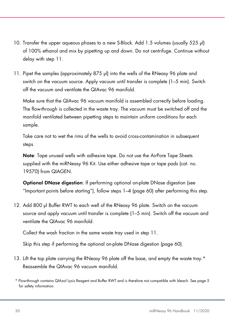- 10. Transfer the upper aqueous phases to a new S-Block. Add 1.5 volumes (usually 525 µl) of 100% ethanol and mix by pipetting up and down. Do not centrifuge. Continue without delay with step 11.
- 11. Pipet the samples (approximately 875 µl) into the wells of the RNeasy 96 plate and switch on the vacuum source. Apply vacuum until transfer is complete (1–5 min). Switch off the vacuum and ventilate the QIAvac 96 manifold.

Make sure that the QIAvac 96 vacuum manifold is assembled correctly before loading. The flow-through is collected in the waste tray. The vacuum must be switched off and the manifold ventilated between pipetting steps to maintain uniform conditions for each sample.

Take care not to wet the rims of the wells to avoid cross-contamination in subsequent steps

Note: Tape unused wells with adhesive tape. Do not use the AirPore Tape Sheets supplied with the miRNeasy 96 Kit. Use either adhesive tape or tape pads (cat. no. 19570) from QIAGEN.

Optional DNase digestion: If performing optional on-plate DNase digestion (see "Important points before starting"), follow steps 1–4 (page 60) after performing this step.

12. Add 800 µl Buffer RWT to each well of the RNeasy 96 plate. Switch on the vacuum source and apply vacuum until transfer is complete (1–5 min). Switch off the vacuum and ventilate the QIAvac 96 manifold.

Collect the wash fraction in the same waste tray used in step 11.

Skip this step if performing the optional on-plate DNase digestion (page 60).

- 13. Lift the top plate carrying the RNeasy 96 plate off the base, and empty the waste tray.\* Reassemble the QIAvac 96 vacuum manifold.
- \* Flow-through contains QIAzol Lysis Reagent and Buffer RWT and is therefore not compatible with bleach. See page 5 for safety information.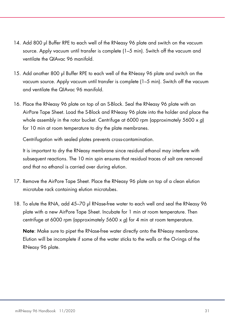- 14. Add 800 µl Buffer RPE to each well of the RNeasy 96 plate and switch on the vacuum source. Apply vacuum until transfer is complete (1–5 min). Switch off the vacuum and ventilate the QIAvac 96 manifold.
- 15. Add another 800 µl Buffer RPE to each well of the RNeasy 96 plate and switch on the vacuum source. Apply vacuum until transfer is complete (1–5 min). Switch off the vacuum and ventilate the QIAvac 96 manifold.
- 16. Place the RNeasy 96 plate on top of an S-Block. Seal the RNeasy 96 plate with an AirPore Tape Sheet. Load the S-Block and RNeasy 96 plate into the holder and place the whole assembly in the rotor bucket. Centrifuge at 6000 rpm (approximately 5600  $\times$  g) for 10 min at room temperature to dry the plate membranes.

Centrifugation with sealed plates prevents cross-contamination.

It is important to dry the RNeasy membrane since residual ethanol may interfere with subsequent reactions. The 10 min spin ensures that residual traces of salt are removed and that no ethanol is carried over during elution.

- 17. Remove the AirPore Tape Sheet. Place the RNeasy 96 plate on top of a clean elution microtube rack containing elution microtubes.
- 18. To elute the RNA, add 45–70 µl RNase-free water to each well and seal the RNeasy 96 plate with a new AirPore Tape Sheet. Incubate for 1 min at room temperature. Then centrifuge at 6000 rpm (approximately 5600 x g) for 4 min at room temperature.

Note: Make sure to pipet the RNase-free water directly onto the RNeasy membrane. Elution will be incomplete if some of the water sticks to the walls or the O-rings of the RNeasy 96 plate.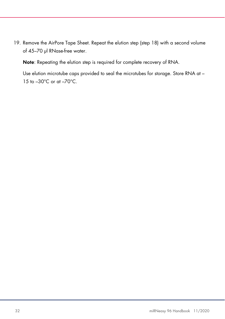19. Remove the AirPore Tape Sheet. Repeat the elution step (step 18) with a second volume of 45–70 µl RNase-free water.

Note: Repeating the elution step is required for complete recovery of RNA.

Use elution microtube caps provided to seal the microtubes for storage. Store RNA at – 15 to –30°C or at –70°C.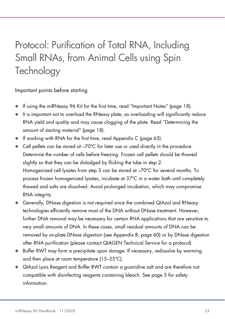## Protocol: Purification of Total RNA, Including Small RNAs, from Animal Cells using Spin **Technology**

Important points before starting

- If using the miRNeasy 96 Kit for the first time, read "Important Notes" (page 18).
- It is important not to overload the RNeasy plate, as overloading will significantly reduce RNA yield and quality and may cause clogging of the plate. Read "Determining the amount of starting material" (page 18).
- If working with RNA for the first time, read Appendix C (page 65).
- Cell pellets can be stored at –70°C for later use or used directly in the procedure. Determine the number of cells before freezing. Frozen cell pellets should be thawed slightly so that they can be dislodged by flicking the tube in step 2. Homogenized cell lysates from step 3 can be stored at  $-70^{\circ}$ C for several months. To process frozen homogenized lysates, incubate at 37ºC in a water bath until completely thawed and salts are dissolved. Avoid prolonged incubation, which may compromise RNA integrity.
- Generally, DNase digestion is not required since the combined QIAzol and RNeasy technologies efficiently remove most of the DNA without DNase treatment. However, further DNA removal may be necessary for certain RNA applications that are sensitive to very small amounts of DNA. In these cases, small residual amounts of DNA can be removed by on-plate DNase digestion (see Appendix B, page 60) or by DNase digestion after RNA purification (please contact QIAGEN Technical Service for a protocol).
- Buffer RWT may form a precipitate upon storage. If necessary, redissolve by warming and then place at room temperature (15–25ºC).
- QIAzol Lysis Reagent and Buffer RWT contain a guanidine salt and are therefore not compatible with disinfecting reagents containing bleach. See page 5 for safety information.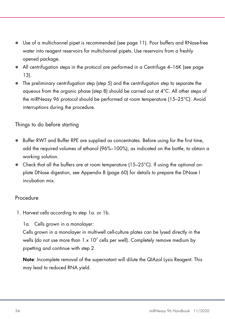- Use of a multichannel pipet is recommended (see page 11). Pour buffers and RNase-free water into reagent reservoirs for multichannel pipets. Use reservoirs from a freshly opened package.
- All centrifugation steps in the protocol are performed in a Centrifuge 4–16K (see page 13).
- The preliminary centrifugation step (step 5) and the centrifugation step to separate the aqueous from the organic phase (step 8) should be carried out at 4°C. All other steps of the miRNeasy 96 protocol should be performed at room temperature (15–25°C). Avoid interruptions during the procedure.

Things to do before starting

- **Buffer RWT and Buffer RPE are supplied as concentrates. Before using for the first time,** add the required volumes of ethanol (96%–100%), as indicated on the bottle, to obtain a working solution.
- $\bullet$  Check that all the buffers are at room temperature (15–25 $\degree$ C). If using the optional onplate DNase digestion, see Appendix B (page 60) for details to prepare the DNase I incubation mix.

#### Procedure

1. Harvest cells according to step 1a. or 1b.

1a. Cells grown in a monolayer:

Cells grown in a monolayer in multiwell cell-culture plates can be lysed directly in the wells (do not use more than 1 x 10<sup>7</sup> cells per well). Completely remove medium by pipetting and continue with step 2.

Note: Incomplete removal of the supernatant will dilute the QIAzol Lysis Reagent. This may lead to reduced RNA yield.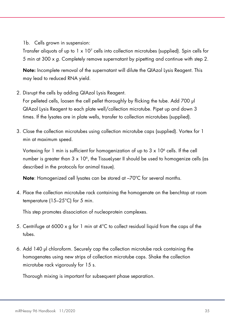1b. Cells grown in suspension:

Transfer aliquots of up to  $1 \times 10^7$  cells into collection microtubes (supplied). Spin cells for 5 min at 300 x g. Completely remove supernatant by pipetting and continue with step 2.

Note: Incomplete removal of the supernatant will dilute the QIAzol Lysis Reagent. This may lead to reduced RNA yield.

2. Disrupt the cells by adding QIAzol Lysis Reagent.

For pelleted cells, loosen the cell pellet thoroughly by flicking the tube. Add 700 µl QIAzol Lysis Reagent to each plate well/collection microtube. Pipet up and down 3 times. If the lysates are in plate wells, transfer to collection microtubes (supplied).

3. Close the collection microtubes using collection microtube caps (supplied). Vortex for 1 min at maximum speed.

Vortexing for 1 min is sufficient for homogenization of up to 3 x 10<sup>6</sup> cells. If the cell number is greater than  $3 \times 10^6$ , the Tissuelyser II should be used to homogenize cells (as described in the protocols for animal tissue).

Note: Homogenized cell lysates can be stored at  $-70^{\circ}$ C for several months.

4. Place the collection microtube rack containing the homogenate on the benchtop at room temperature (15–25°C) for 5 min.

This step promotes dissociation of nucleoprotein complexes.

- 5. Centrifuge at 6000 x g for 1 min at  $4^{\circ}$ C to collect residual liquid from the caps of the tubes.
- 6. Add 140 µl chloroform. Securely cap the collection microtube rack containing the homogenates using new strips of collection microtube caps. Shake the collection microtube rack vigorously for 15 s.

Thorough mixing is important for subsequent phase separation.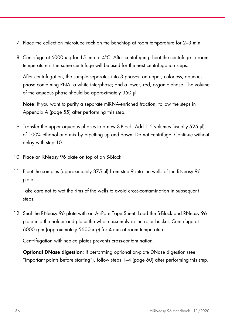- 7. Place the collection microtube rack on the benchtop at room temperature for 2–3 min.
- 8. Centrifuge at 6000  $\times$  g for 15 min at 4°C. After centrifuging, heat the centrifuge to room temperature if the same centrifuge will be used for the next centrifugation steps.

After centrifugation, the sample separates into 3 phases: an upper, colorless, aqueous phase containing RNA; a white interphase; and a lower, red, organic phase. The volume of the aqueous phase should be approximately 350 µl.

Note: If you want to purify a separate miRNA-enriched fraction, follow the steps in Appendix A (page 55) after performing this step.

- 9. Transfer the upper aqueous phases to a new S-Block. Add 1.5 volumes (usually 525 µl) of 100% ethanol and mix by pipetting up and down. Do not centrifuge. Continue without delay with step 10.
- 10. Place an RNeasy 96 plate on top of an S-Block.
- 11. Pipet the samples (approximately 875 µl) from step 9 into the wells of the RNeasy 96 plate.

Take care not to wet the rims of the wells to avoid cross-contamination in subsequent steps.

12. Seal the RNeasy 96 plate with an AirPore Tape Sheet. Load the S-Block and RNeasy 96 plate into the holder and place the whole assembly in the rotor bucket. Centrifuge at 6000 rpm (approximately 5600 x g) for 4 min at room temperature.

Centrifugation with sealed plates prevents cross-contamination.

Optional DNase digestion: If performing optional on-plate DNase digestion (see "Important points before starting"), follow steps 1–4 (page 60) after performing this step.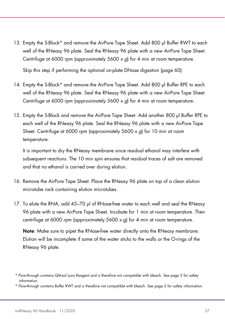13. Empty the S-Block\* and remove the AirPore Tape Sheet. Add 800 µl Buffer RWT to each well of the RNeasy 96 plate. Seal the RNeasy 96 plate with a new AirPore Tape Sheet. Centrifuge at 6000 rpm (approximately 5600 x g) for 4 min at room temperature.

Skip this step if performing the optional on-plate DNase digestion (page 60).

- 14. Empty the S-Block\* and remove the AirPore Tape Sheet. Add 800 µl Buffer RPE to each well of the RNeasy 96 plate. Seal the RNeasy 96 plate with a new AirPore Tape Sheet. Centrifuge at 6000 rpm (approximately 5600 x g) for 4 min at room temperature.
- 15. Empty the S-Block and remove the AirPore Tape Sheet. Add another 800 µl Buffer RPE to each well of the RNeasy 96 plate. Seal the RNeasy 96 plate with a new AirPore Tape Sheet. Centrifuge at 6000 rpm (approximately 5600 x q) for 10 min at room temperature.

It is important to dry the RNeasy membrane since residual ethanol may interfere with subsequent reactions. The 10 min spin ensures that residual traces of salt are removed and that no ethanol is carried over during elution.

- 16. Remove the AirPore Tape Sheet. Place the RNeasy 96 plate on top of a clean elution microtube rack containing elution microtubes.
- 17. To elute the RNA, add 45–70 µl of RNase-free water to each well and seal the RNeasy 96 plate with a new AirPore Tape Sheet. Incubate for 1 min at room temperature. Then centrifuge at 6000 rpm (approximately 5600 x g) for 4 min at room temperature.

Note: Make sure to pipet the RNase-free water directly onto the RNeasy membrane. Elution will be incomplete if some of the water sticks to the walls or the O-rings of the RNeasy 96 plate.

\* Flow-through contains Buffer RWT and is therefore not compatible with bleach. See page 5 for safety information.

<sup>\*</sup> Flow-through contains QIAzol Lysis Reagent and is therefore not compatible with bleach. See page 5 for safety information.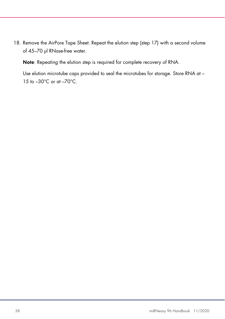18. Remove the AirPore Tape Sheet. Repeat the elution step (step 17) with a second volume of 45–70 µl RNase-free water.

Note: Repeating the elution step is required for complete recovery of RNA.

Use elution microtube caps provided to seal the microtubes for storage. Store RNA at – 15 to –30°C or at –70°C.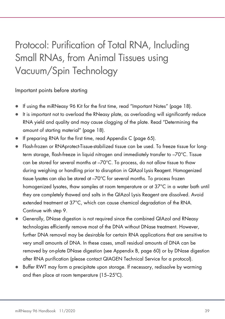## Protocol: Purification of Total RNA, Including Small RNAs, from Animal Tissues using Vacuum/Spin Technology

## Important points before starting

- If using the miRNeasy 96 Kit for the first time, read "Important Notes" (page 18).
- It is important not to overload the RNeasy plate, as overloading will significantly reduce RNA yield and quality and may cause clogging of the plate. Read "Determining the amount of starting material" (page 18).
- If preparing RNA for the first time, read Appendix C (page 65).
- Flash-frozen or RNAprotect-Tissue-stabilized tissue can be used. To freeze tissue for longterm storage, flash-freeze in liquid nitrogen and immediately transfer to –70°C. Tissue can be stored for several months at –70°C. To process, do not allow tissue to thaw during weighing or handling prior to disruption in QIAzol Lysis Reagent. Homogenized tissue lysates can also be stored at –70°C for several months. To process frozen homogenized lysates, thaw samples at room temperature or at 37°C in a water bath until they are completely thawed and salts in the QIAzol Lysis Reagent are dissolved. Avoid extended treatment at 37°C, which can cause chemical degradation of the RNA. Continue with step 9.
- Generally, DNase digestion is not required since the combined QIAzol and RNeasy technologies efficiently remove most of the DNA without DNase treatment. However, further DNA removal may be desirable for certain RNA applications that are sensitive to very small amounts of DNA. In these cases, small residual amounts of DNA can be removed by on-plate DNase digestion (see Appendix B, page 60) or by DNase digestion after RNA purification (please contact QIAGEN Technical Service for a protocol).
- Buffer RWT may form a precipitate upon storage. If necessary, redissolve by warming and then place at room temperature (15–25ºC).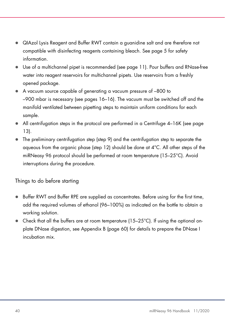- QIAzol Lysis Reagent and Buffer RWT contain a guanidine salt and are therefore not compatible with disinfecting reagents containing bleach. See page 5 for safety information.
- Use of a multichannel pipet is recommended (see page 11). Pour buffers and RNase-free water into reagent reservoirs for multichannel pipets. Use reservoirs from a freshly opened package.
- A vacuum source capable of generating a vacuum pressure of –800 to –900 mbar is necessary (see pages 16–16). The vacuum must be switched off and the manifold ventilated between pipetting steps to maintain uniform conditions for each sample.
- All centrifugation steps in the protocol are performed in a Centrifuge 4–16K (see page 13).
- The preliminary centrifugation step (step 9) and the centrifugation step to separate the aqueous from the organic phase (step 12) should be done at 4°C. All other steps of the miRNeasy 96 protocol should be performed at room temperature (15–25°C). Avoid interruptions during the procedure.

## Things to do before starting

- **Buffer RWT and Buffer RPE are supplied as concentrates. Before using for the first time,** add the required volumes of ethanol (96–100%) as indicated on the bottle to obtain a working solution.
- $\bullet$  Check that all the buffers are at room temperature (15–25 $\degree$ C). If using the optional onplate DNase digestion, see Appendix B (page 60) for details to prepare the DNase I incubation mix.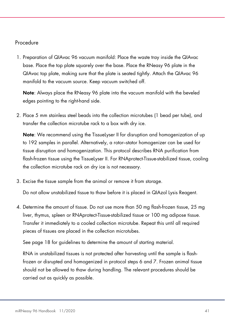## Procedure

1. Preparation of QIAvac 96 vacuum manifold: Place the waste tray inside the QIAvac base. Place the top plate squarely over the base. Place the RNeasy 96 plate in the QIAvac top plate, making sure that the plate is seated tightly. Attach the QIAvac 96 manifold to the vacuum source. Keep vacuum switched off.

Note: Always place the RNeasy 96 plate into the vacuum manifold with the beveled edges pointing to the right-hand side.

2. Place 5 mm stainless steel beads into the collection microtubes (1 bead per tube), and transfer the collection microtube rack to a box with dry ice.

Note: We recommend using the TissueLyser II for disruption and homogenization of up to 192 samples in parallel. Alternatively, a rotor–stator homogenizer can be used for tissue disruption and homogenization. This protocol describes RNA purification from flash-frozen tissue using the TissueLyser II. For RNAprotect-Tissue-stabilized tissue, cooling the collection microtube rack on dry ice is not necessary.

3. Excise the tissue sample from the animal or remove it from storage.

Do not allow unstabilized tissue to thaw before it is placed in QIAzol Lysis Reagent.

4. Determine the amount of tissue. Do not use more than 50 mg flash-frozen tissue, 25 mg liver, thymus, spleen or RNAprotect-Tissue-stabilized tissue or 100 mg adipose tissue. Transfer it immediately to a cooled collection microtube. Repeat this until all required pieces of tissues are placed in the collection microtubes.

See page 18 for guidelines to determine the amount of starting material.

RNA in unstabilized tissues is not protected after harvesting until the sample is flashfrozen or disrupted and homogenized in protocol steps 6 and 7. Frozen animal tissue should not be allowed to thaw during handling. The relevant procedures should be carried out as quickly as possible.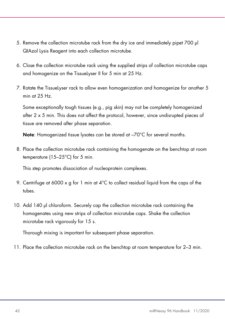- 5. Remove the collection microtube rack from the dry ice and immediately pipet 700 µl QIAzol Lysis Reagent into each collection microtube.
- 6. Close the collection microtube rack using the supplied strips of collection microtube caps and homogenize on the TissueLyser II for 5 min at 25 Hz.
- 7. Rotate the TissueLyser rack to allow even homogenization and homogenize for another 5 min at  $25$  Hz.

Some exceptionally tough tissues (e.g., pig skin) may not be completely homogenized after 2 x 5 min. This does not affect the protocol, however, since undisrupted pieces of tissue are removed after phase separation.

Note: Homogenized tissue lysates can be stored at -70°C for several months.

8. Place the collection microtube rack containing the homogenate on the benchtop at room temperature (15–25°C) for 5 min.

This step promotes dissociation of nucleoprotein complexes.

- 9. Centrifuge at 6000  $\times$  g for 1 min at 4°C to collect residual liquid from the caps of the tubes.
- 10. Add 140 µl chloroform. Securely cap the collection microtube rack containing the homogenates using new strips of collection microtube caps. Shake the collection microtube rack vigorously for 15 s.

Thorough mixing is important for subsequent phase separation.

11. Place the collection microtube rack on the benchtop at room temperature for 2–3 min.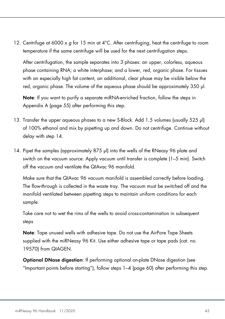12. Centrifuge at 6000 x  $q$  for 15 min at 4°C. After centrifuging, heat the centrifuge to room temperature if the same centrifuge will be used for the next centrifugation steps.

After centrifugation, the sample separates into 3 phases: an upper, colorless, aqueous phase containing RNA; a white interphase; and a lower, red, organic phase. For tissues with an especially high fat content, an additional, clear phase may be visible below the red, organic phase. The volume of the aqueous phase should be approximately 350 µl.

Note: If you want to purify a separate miRNA-enriched fraction, follow the steps in Appendix A (page 55) after performing this step.

- 13. Transfer the upper aqueous phases to a new S-Block. Add 1.5 volumes (usually 525 µl) of 100% ethanol and mix by pipetting up and down. Do not centrifuge. Continue without delay with step 14.
- 14. Pipet the samples (approximately 875 µl) into the wells of the RNeasy 96 plate and switch on the vacuum source. Apply vacuum until transfer is complete (1–5 min). Switch off the vacuum and ventilate the QIAvac 96 manifold.

Make sure that the QIAvac 96 vacuum manifold is assembled correctly before loading. The flow-through is collected in the waste tray. The vacuum must be switched off and the manifold ventilated between pipetting steps to maintain uniform conditions for each sample.

Take care not to wet the rims of the wells to avoid cross-contamination in subsequent steps

Note: Tape unused wells with adhesive tape. Do not use the AirPore Tape Sheets supplied with the miRNeasy 96 Kit. Use either adhesive tape or tape pads (cat. no. 19570) from QIAGEN.

Optional DNase digestion: If performing optional on-plate DNase digestion (see "Important points before starting"), follow steps 1–4 (page 60) after performing this step.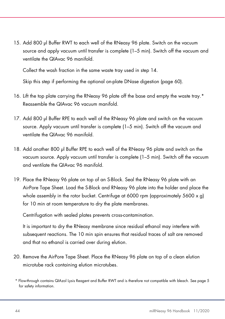15. Add 800 µl Buffer RWT to each well of the RNeasy 96 plate. Switch on the vacuum source and apply vacuum until transfer is complete (1–5 min). Switch off the vacuum and ventilate the QIAvac 96 manifold.

Collect the wash fraction in the same waste tray used in step 14.

Skip this step if performing the optional on-plate DNase digestion (page 60).

- 16. Lift the top plate carrying the RNeasy 96 plate off the base and empty the waste tray.\* Reassemble the QIAvac 96 vacuum manifold.
- 17. Add 800 µl Buffer RPE to each well of the RNeasy 96 plate and switch on the vacuum source. Apply vacuum until transfer is complete (1–5 min). Switch off the vacuum and ventilate the QIAvac 96 manifold.
- 18. Add another 800 µl Buffer RPE to each well of the RNeasy 96 plate and switch on the vacuum source. Apply vacuum until transfer is complete (1–5 min). Switch off the vacuum and ventilate the QIAvac 96 manifold.
- 19. Place the RNeasy 96 plate on top of an S-Block. Seal the RNeasy 96 plate with an AirPore Tape Sheet. Load the S-Block and RNeasy 96 plate into the holder and place the whole assembly in the rotor bucket. Centrifuge at 6000 rpm (approximately 5600  $\times$  g) for 10 min at room temperature to dry the plate membranes.

Centrifugation with sealed plates prevents cross-contamination.

It is important to dry the RNeasy membrane since residual ethanol may interfere with subsequent reactions. The 10 min spin ensures that residual traces of salt are removed and that no ethanol is carried over during elution.

- 20. Remove the AirPore Tape Sheet. Place the RNeasy 96 plate on top of a clean elution microtube rack containing elution microtubes.
- \* Flow-through contains QIAzol Lysis Reagent and Buffer RWT and is therefore not compatible with bleach. See page 5 for safety information.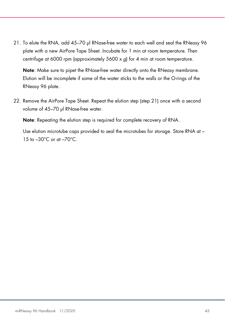21. To elute the RNA, add 45-70 µl RNase-free water to each well and seal the RNeasy 96 plate with a new AirPore Tape Sheet. Incubate for 1 min at room temperature. Then centrifuge at 6000 rpm (approximately 5600 x g) for 4 min at room temperature.

Note: Make sure to pipet the RNase-free water directly onto the RNeasy membrane. Elution will be incomplete if some of the water sticks to the walls or the O-rings of the RNeasy 96 plate.

22. Remove the AirPore Tape Sheet. Repeat the elution step (step 21) once with a second volume of 45-70 µl RNase-free water.

Note: Repeating the elution step is required for complete recovery of RNA.

Use elution microtube caps provided to seal the microtubes for storage. Store RNA at – 15 to –30°C or at –70°C.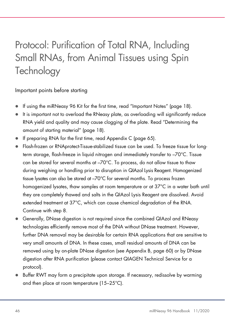## Protocol: Purification of Total RNA, Including Small RNAs, from Animal Tissues using Spin **Technology**

Important points before starting

- If using the miRNeasy 96 Kit for the first time, read "Important Notes" (page 18).
- It is important not to overload the RNeasy plate, as overloading will significantly reduce RNA yield and quality and may cause clogging of the plate. Read "Determining the amount of starting material" (page 18).
- If preparing RNA for the first time, read Appendix C (page 65).
- Flash-frozen or RNAprotect-Tissue-stabilized tissue can be used. To freeze tissue for longterm storage, flash-freeze in liquid nitrogen and immediately transfer to –70°C. Tissue can be stored for several months at –70°C. To process, do not allow tissue to thaw during weighing or handling prior to disruption in QIAzol Lysis Reagent. Homogenized tissue lysates can also be stored at –70°C for several months. To process frozen homogenized lysates, thaw samples at room temperature or at 37°C in a water bath until they are completely thawed and salts in the QIAzol Lysis Reagent are dissolved. Avoid extended treatment at 37°C, which can cause chemical degradation of the RNA. Continue with step 8.
- Generally, DNase digestion is not required since the combined QIAzol and RNeasy technologies efficiently remove most of the DNA without DNase treatment. However, further DNA removal may be desirable for certain RNA applications that are sensitive to very small amounts of DNA. In these cases, small residual amounts of DNA can be removed using by on-plate DNase digestion (see Appendix B, page 60) or by DNase digestion after RNA purification (please contact QIAGEN Technical Service for a protocol).
- Buffer RWT may form a precipitate upon storage. If necessary, redissolve by warming and then place at room temperature (15–25°C).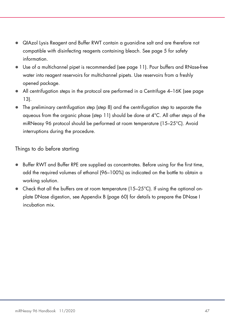- QIAzol Lysis Reagent and Buffer RWT contain a guanidine salt and are therefore not compatible with disinfecting reagents containing bleach. See page 5 for safety information.
- Use of a multichannel pipet is recommended (see page 11). Pour buffers and RNase-free water into reagent reservoirs for multichannel pipets. Use reservoirs from a freshly opened package.
- All centrifugation steps in the protocol are performed in a Centrifuge 4–16K (see page 13).
- The preliminary centrifugation step (step 8) and the centrifugation step to separate the aqueous from the organic phase (step 11) should be done at 4°C. All other steps of the miRNeasy 96 protocol should be performed at room temperature (15–25°C). Avoid interruptions during the procedure.

Things to do before starting

- Buffer RWT and Buffer RPE are supplied as concentrates. Before using for the first time, add the required volumes of ethanol (96–100%) as indicated on the bottle to obtain a working solution.
- $\bullet$  Check that all the buffers are at room temperature (15–25 $\degree$ C). If using the optional onplate DNase digestion, see Appendix B (page 60) for details to prepare the DNase I incubation mix.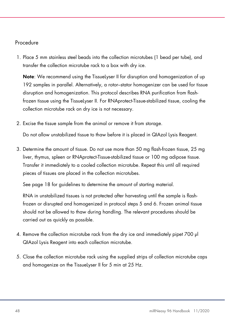## Procedure

1. Place 5 mm stainless steel beads into the collection microtubes (1 bead per tube), and transfer the collection microtube rack to a box with dry ice.

Note: We recommend using the TissueLyser II for disruption and homogenization of up 192 samples in parallel. Alternatively, a rotor–stator homogenizer can be used for tissue disruption and homogenization. This protocol describes RNA purification from flashfrozen tissue using the TissueLyser II. For RNAprotect-Tissue-stabilized tissue, cooling the collection microtube rack on dry ice is not necessary.

2. Excise the tissue sample from the animal or remove it from storage.

Do not allow unstabilized tissue to thaw before it is placed in QIAzol Lysis Reagent.

3. Determine the amount of tissue. Do not use more than 50 mg flash-frozen tissue, 25 mg liver, thymus, spleen or RNAprotect-Tissue-stabilized tissue or 100 mg adipose tissue. Transfer it immediately to a cooled collection microtube. Repeat this until all required pieces of tissues are placed in the collection microtubes.

See page 18 for guidelines to determine the amount of starting material.

RNA in unstabilized tissues is not protected after harvesting until the sample is flashfrozen or disrupted and homogenized in protocol steps 5 and 6. Frozen animal tissue should not be allowed to thaw during handling. The relevant procedures should be carried out as quickly as possible.

- 4. Remove the collection microtube rack from the dry ice and immediately pipet 700 µl QIAzol Lysis Reagent into each collection microtube.
- 5. Close the collection microtube rack using the supplied strips of collection microtube caps and homogenize on the TissueLyser II for 5 min at 25 Hz.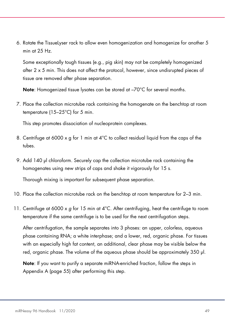6. Rotate the TissueLyser rack to allow even homogenization and homogenize for another 5 min at 25 Hz.

Some exceptionally tough tissues (e.g., pig skin) may not be completely homogenized after 2 x 5 min. This does not affect the protocol, however, since undisrupted pieces of tissue are removed after phase separation.

Note: Homogenized tissue lysates can be stored at -70°C for several months.

7. Place the collection microtube rack containing the homogenate on the benchtop at room temperature (15–25°C) for 5 min.

This step promotes dissociation of nucleoprotein complexes.

- 8. Centrifuge at 6000 x g for 1 min at 4°C to collect residual liquid from the caps of the tubes.
- 9. Add 140 µl chloroform. Securely cap the collection microtube rack containing the homogenates using new strips of caps and shake it vigorously for 15 s.

Thorough mixing is important for subsequent phase separation.

- 10. Place the collection microtube rack on the benchtop at room temperature for 2–3 min.
- 11. Centrifuge at 6000 x  $q$  for 15 min at 4°C. After centrifuging, heat the centrifuge to room temperature if the same centrifuge is to be used for the next centrifugation steps.

After centrifugation, the sample separates into 3 phases: an upper, colorless, aqueous phase containing RNA; a white interphase; and a lower, red, organic phase. For tissues with an especially high fat content, an additional, clear phase may be visible below the red, organic phase. The volume of the aqueous phase should be approximately 350 µl.

Note: If you want to purify a separate miRNA-enriched fraction, follow the steps in Appendix A (page 55) after performing this step.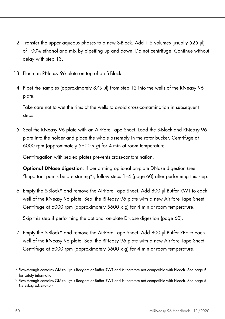- 12. Transfer the upper aqueous phases to a new S-Block. Add 1.5 volumes (usually 525 µl) of 100% ethanol and mix by pipetting up and down. Do not centrifuge. Continue without delay with step 13.
- 13. Place an RNeasy 96 plate on top of an S-Block.
- 14. Pipet the samples (approximately 875 µl) from step 12 into the wells of the RNeasy 96 plate.

Take care not to wet the rims of the wells to avoid cross-contamination in subsequent steps.

15. Seal the RNeasy 96 plate with an AirPore Tape Sheet. Load the S-Block and RNeasy 96 plate into the holder and place the whole assembly in the rotor bucket. Centrifuge at 6000 rpm (approximately 5600 x g) for 4 min at room temperature.

Centrifugation with sealed plates prevents cross-contamination.

Optional DNase digestion: If performing optional on-plate DNase digestion (see "Important points before starting"), follow steps 1–4 (page 60) after performing this step.

16. Empty the S-Block\* and remove the AirPore Tape Sheet. Add 800 µl Buffer RWT to each well of the RNeasy 96 plate. Seal the RNeasy 96 plate with a new AirPore Tape Sheet. Centrifuge at 6000 rpm (approximately 5600 x g) for 4 min at room temperature.

Skip this step if performing the optional on-plate DNase digestion (page 60).

17. Empty the S-Block\* and remove the AirPore Tape Sheet. Add 800 µl Buffer RPE to each well of the RNeasy 96 plate. Seal the RNeasy 96 plate with a new AirPore Tape Sheet. Centrifuge at 6000 rpm (approximately 5600 x g) for 4 min at room temperature.

<sup>\*</sup> Flow-through contains QIAzol Lysis Reagent or Buffer RWT and is therefore not compatible with bleach. See page 5 for safety information.

<sup>\*</sup> Flow-through contains QIAzol Lysis Reagent or Buffer RWT and is therefore not compatible with bleach. See page 5 for safety information.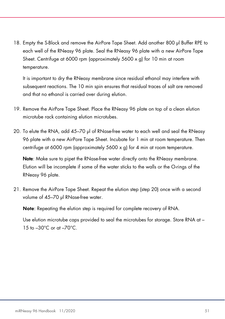18. Empty the S-Block and remove the AirPore Tape Sheet. Add another 800 µl Buffer RPE to each well of the RNeasy 96 plate. Seal the RNeasy 96 plate with a new AirPore Tape Sheet. Centrifuge at 6000 rpm (approximately 5600 x g) for 10 min at room temperature.

It is important to dry the RNeasy membrane since residual ethanol may interfere with subsequent reactions. The 10 min spin ensures that residual traces of salt are removed and that no ethanol is carried over during elution.

- 19. Remove the AirPore Tape Sheet. Place the RNeasy 96 plate on top of a clean elution microtube rack containing elution microtubes.
- 20. To elute the RNA, add 45–70 µl of RNase-free water to each well and seal the RNeasy 96 plate with a new AirPore Tape Sheet. Incubate for 1 min at room temperature. Then centrifuge at 6000 rpm (approximately 5600 x g) for 4 min at room temperature.

Note: Make sure to pipet the RNase-free water directly onto the RNeasy membrane. Elution will be incomplete if some of the water sticks to the walls or the O-rings of the RNeasy 96 plate.

21. Remove the AirPore Tape Sheet. Repeat the elution step (step 20) once with a second volume of 45-70 µl RNase-free water.

Note: Repeating the elution step is required for complete recovery of RNA.

Use elution microtube caps provided to seal the microtubes for storage. Store RNA at – 15 to  $-30^{\circ}$ C or at  $-70^{\circ}$ C.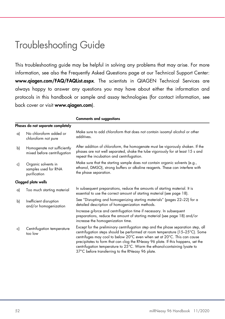## Troubleshooting Guide

This troubleshooting guide may be helpful in solving any problems that may arise. For more information, see also the Frequently Asked Questions page at our Technical Support Center: www.qiagen.com/FAQ/FAQList.aspx. The scientists in QIAGEN Technical Services are always happy to answer any questions you may have about either the information and protocols in this handbook or sample and assay technologies (for contact information, see back cover or visit www.qiagen.com).

|                     |                                                             | <b>Comments and suggestions</b>                                                                                                                                                                                                                                                                                                                                                                                                                                    |
|---------------------|-------------------------------------------------------------|--------------------------------------------------------------------------------------------------------------------------------------------------------------------------------------------------------------------------------------------------------------------------------------------------------------------------------------------------------------------------------------------------------------------------------------------------------------------|
|                     | Phases do not separate completely                           |                                                                                                                                                                                                                                                                                                                                                                                                                                                                    |
| a)                  | No chloroform added or<br>chloroform not pure               | Make sure to add chloroform that does not contain isoamyl alcohol or other<br>additives.                                                                                                                                                                                                                                                                                                                                                                           |
| b)                  | Homogenate not sufficiently<br>mixed before centrifugation  | After addition of chloroform, the homogenate must be vigorously shaken. If the<br>phases are not well separated, shake the tube vigorously for at least 15 s and<br>repeat the incubation and centrifugation.                                                                                                                                                                                                                                                      |
| c)                  | Organic solvents in<br>samples used for RNA<br>purification | Make sure that the starting sample does not contain organic solvents (e.g.,<br>ethanol, DMSO), strong buffers or alkaline reagents. These can interfere with<br>the phase separation.                                                                                                                                                                                                                                                                              |
| Clogged plate wells |                                                             |                                                                                                                                                                                                                                                                                                                                                                                                                                                                    |
| a)                  | Too much starting material                                  | In subsequent preparations, reduce the amounts of starting material. It is<br>essential to use the correct amount of starting material (see page 18).                                                                                                                                                                                                                                                                                                              |
| b)                  | Inefficient disruption<br>and/or homogenization             | See "Disrupting and homogenizing starting materials" (pages 22-22) for a<br>detailed description of homogenization methods.                                                                                                                                                                                                                                                                                                                                        |
|                     |                                                             | Increase g-force and centrifugation time if necessary. In subsequent<br>preparations, reduce the amount of starting material (see page 18) and/or<br>increase the homogenization time.                                                                                                                                                                                                                                                                             |
| c)                  | Centrifugation temperature<br>too low                       | Except for the preliminary centrifugation step and the phase separation step, all<br>centrifugation steps should be performed at room temperature (15-25°C). Some<br>centrifuges may cool to below 20°C even when set at 20°C. This can cause<br>precipitates to form that can clog the RNeasy 96 plate. If this happens, set the<br>centrifugation temperature to 25°C. Warm the ethanol-containing lysate to<br>37°C before transferring to the RNeasy 96 plate. |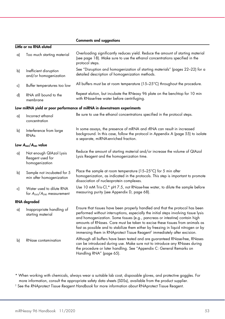|    |                                                               | <b>Comments and suggestions</b>                                                                                                                                                                                                                                                                                                                                                                                                                                                                                     |
|----|---------------------------------------------------------------|---------------------------------------------------------------------------------------------------------------------------------------------------------------------------------------------------------------------------------------------------------------------------------------------------------------------------------------------------------------------------------------------------------------------------------------------------------------------------------------------------------------------|
|    | Little or no RNA eluted                                       |                                                                                                                                                                                                                                                                                                                                                                                                                                                                                                                     |
| a) | Too much starting material                                    | Overloading significantly reduces yield. Reduce the amount of starting material<br>(see page 18). Make sure to use the ethanol concentrations specified in the<br>protocol steps.                                                                                                                                                                                                                                                                                                                                   |
| b) | Inefficient disruption<br>and/or homogenization               | See "Disruption and homogenization of starting materials" (pages 22-22) for a<br>detailed description of homogenization methods.                                                                                                                                                                                                                                                                                                                                                                                    |
| c) | Buffer temperatures too low                                   | All buffers must be at room temperature (15-25°C) throughout the procedure.                                                                                                                                                                                                                                                                                                                                                                                                                                         |
| d) | RNA still bound to the<br>membrane                            | Repeat elution, but incubate the RNeasy 96 plate on the benchtop for 10 min<br>with RNase-free water before centrifuging.                                                                                                                                                                                                                                                                                                                                                                                           |
|    |                                                               | Low miRNA yield or poor performance of miRNA in downstream experiments                                                                                                                                                                                                                                                                                                                                                                                                                                              |
| a) | Incorrect ethanol<br>concentration                            | Be sure to use the ethanol concentrations specified in the protocol steps.                                                                                                                                                                                                                                                                                                                                                                                                                                          |
| b) | Interference from large<br><b>RNAs</b>                        | In some assays, the presence of mRNA and rRNA can result in increased<br>background. In this case, follow the protocol in Appendix A (page 55) to isolate<br>a separate, miRNA-enriched fraction.                                                                                                                                                                                                                                                                                                                   |
|    | Low $A_{260}/A_{280}$ value                                   |                                                                                                                                                                                                                                                                                                                                                                                                                                                                                                                     |
| a) | Not enough QIAzol Lysis<br>Reagent used for<br>homogenization | Reduce the amount of starting material and/or increase the volume of QIAzol<br>Lysis Reagent and the homogenization time.                                                                                                                                                                                                                                                                                                                                                                                           |
| b) | Sample not incubated for 5<br>min after homogenization        | Place the sample at room temperature ( $15-25^{\circ}$ C) for 5 min after<br>homogenization, as indicated in the protocols. This step is important to promote<br>dissociation of nucleoprotein complexes.                                                                                                                                                                                                                                                                                                           |
| c) | Water used to dilute RNA<br>for $A_{260}/A_{280}$ measurement | Use 10 mM Tris.Cl,* pH 7.5, not RNase-free water, to dilute the sample before<br>measuring purity (see Appendix D, page 68).                                                                                                                                                                                                                                                                                                                                                                                        |
|    | RNA degraded                                                  |                                                                                                                                                                                                                                                                                                                                                                                                                                                                                                                     |
| a) | Inappropriate handling of<br>starting material                | Ensure that tissues have been properly handled and that the protocol has been<br>performed without interruptions, especially the initial steps involving tissue lysis<br>and homogenization. Some tissues (e.g., pancreas or intestine) contain high<br>amounts of RNases. Care must be taken to excise these tissues from animals as<br>fast as possible and to stabilize them either by freezing in liquid nitrogen or by<br>immersing them in RNAprotect Tissue Reagent <sup>†</sup> immediately after excision. |
| b) | RNase contamination                                           | Although all buffers have been tested and are guaranteed RNase-free, RNases<br>can be introduced during use. Make sure not to introduce any RNases during<br>the procedure or later handling. See "Appendix C: General Remarks on<br>Handling RNA" (page 65).                                                                                                                                                                                                                                                       |

\* When working with chemicals, always wear a suitable lab coat, disposable gloves, and protective goggles. For more information, consult the appropriate safety data sheets (SDSs), available from the product supplier.

† See the RNAprotect Tissue Reagent Handbook for more information about RNAprotect Tissue Reagent.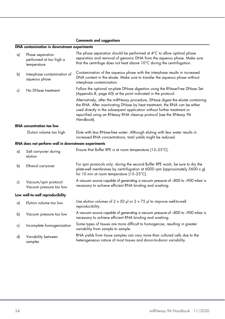#### Comments and suggestions

#### DNA contamination in downstream experiments

| a) | Phase separation<br>performed at too high a<br>temperature | The phase separation should be performed at $4^{\circ}C$ to allow optimal phase<br>separation and removal of genomic DNA from the aqueous phase. Make sure<br>that the centrifuge does not heat above 10°C during the centrifugation.                                                                                         |  |
|----|------------------------------------------------------------|-------------------------------------------------------------------------------------------------------------------------------------------------------------------------------------------------------------------------------------------------------------------------------------------------------------------------------|--|
| b) | Interphase contamination of<br>aqueous phase               | Contamination of the aqueous phase with the interphase results in increased<br>DNA content in the eluate. Make sure to transfer the aqueous phase without<br>interphase contamination.                                                                                                                                        |  |
| c) | No DNase treatment                                         | Follow the optional on-plate DNase digestion using the RNase-Free DNase Set<br>(Appendix B, page 60) at the point indicated in the protocol.                                                                                                                                                                                  |  |
|    |                                                            | Alternatively, after the miRNeasy procedure, DNase digest the eluate containing<br>the RNA. After inactivating DNase by heat treatment, the RNA can be either<br>used directly in the subsequent application without further treatment or<br>repurified using an RNeasy RNA cleanup protocol (see the RNeasy 96<br>Handbook). |  |
|    | RNA concentration too low                                  |                                                                                                                                                                                                                                                                                                                               |  |
|    | Elution volume too high                                    | Elute with less RNase-free water. Although eluting with less water results in<br>increased RNA concentrations, total yields might be reduced.                                                                                                                                                                                 |  |
|    | RNA does not perform well in downstream experiments        |                                                                                                                                                                                                                                                                                                                               |  |
| a) | Salt carryover during<br>elution                           | Ensure that Buffer RPE is at room temperature (15-25°C).                                                                                                                                                                                                                                                                      |  |
| b) | Ethanol carryover                                          | For spin protocols only: during the second Buffer RPE wash, be sure to dry the<br>plate-well membranes by centrifugation at 6000 rpm (approximately 5600 x g)<br>for 10 min at room temperature (15-25°C).                                                                                                                    |  |
| c) | Vacuum/spin protocol:<br>Vacuum pressure too low           | A vacuum source capable of generating a vacuum pressure of -800 to -900 mbar is<br>necessary to achieve efficient RNA binding and washing.                                                                                                                                                                                    |  |
|    | Low well-to-well reproducibility                           |                                                                                                                                                                                                                                                                                                                               |  |
| a) | Elution volume too low                                     | Use elution volumes of $2 \times 50$ µl or $2 \times 75$ µl to improve well-to-well<br>reproducibility.                                                                                                                                                                                                                       |  |
| b) | Vacuum pressure too low                                    | A vacuum source capable of generating a vacuum pressure of -800 to -900 mbar is<br>necessary to achieve efficient RNA binding and washing.                                                                                                                                                                                    |  |
| c) | Incomplete homogenization                                  | Some types of tissues are more difficult to homogenize, resulting in greater                                                                                                                                                                                                                                                  |  |
|    |                                                            | variability from sample to sample.                                                                                                                                                                                                                                                                                            |  |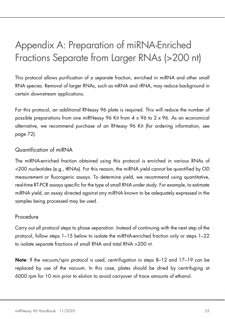## Appendix A: Preparation of miRNA-Enriched Fractions Separate from Larger RNAs (>200 nt)

This protocol allows purification of a separate fraction, enriched in miRNA and other small RNA species. Removal of larger RNAs, such as mRNA and rRNA, may reduce background in certain downstream applications.

For this protocol, an additional RNeasy 96 plate is required. This will reduce the number of possible preparations from one miRNeasy 96 Kit from 4 x 96 to 2 x 96. As an economical alternative, we recommend purchase of an RNeasy 96 Kit (for ordering information, see page 72).

## Quantification of miRNA

The miRNA-enriched fraction obtained using this protocol is enriched in various RNAs of <200 nucleotides (e.g., tRNAs). For this reason, the miRNA yield cannot be quantified by OD measurement or fluorogenic assays. To determine yield, we recommend using quantitative, real-time RT-PCR assays specific for the type of small RNA under study. For example, to estimate miRNA yield, an assay directed against any miRNA known to be adequately expressed in the samples being processed may be used.

## Procedure

Carry out all protocol steps to phase separation. Instead of continuing with the next step of the protocol, follow steps 1–15 below to isolate the miRNA-enriched fraction only or steps 1–22 to isolate separate fractions of small RNA and total RNA >200 nt.

Note: If the vacuum/spin protocol is used, centrifugation in steps 8–12 and 17–19 can be replaced by use of the vacuum. In this case, plates should be dried by centrifuging at 6000 rpm for 10 min prior to elution to avoid carryover of trace amounts of ethanol.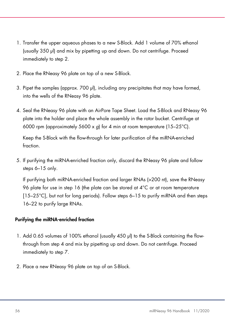- 1. Transfer the upper aqueous phases to a new S-Block. Add 1 volume of 70% ethanol (usually 350 µl) and mix by pipetting up and down. Do not centrifuge. Proceed immediately to step 2.
- 2. Place the RNeasy 96 plate on top of a new S-Block.
- 3. Pipet the samples (approx.  $700$   $\mu$ ), including any precipitates that may have formed, into the wells of the RNeasy 96 plate.
- 4. Seal the RNeasy 96 plate with an AirPore Tape Sheet. Load the S-Block and RNeasy 96 plate into the holder and place the whole assembly in the rotor bucket. Centrifuge at 6000 rpm (approximately 5600 x q) for 4 min at room temperature (15–25 $^{\circ}$ C).

Keep the S-Block with the flow-through for later purification of the miRNA-enriched fraction.

5. If purifying the miRNA-enriched fraction only, discard the RNeasy 96 plate and follow steps 6–15 only.

If purifying both miRNA-enriched fraction and larger RNAs (>200 nt), save the RNeasy 96 plate for use in step 16 (the plate can be stored at 4°C or at room temperature [15–25°C], but not for long periods). Follow steps 6–15 to purify miRNA and then steps 16–22 to purify large RNAs.

### Purifying the miRNA-enriched fraction

- 1. Add 0.65 volumes of 100% ethanol (usually 450 µl) to the S-Block containing the flowthrough from step 4 and mix by pipetting up and down. Do not centrifuge. Proceed immediately to step 7.
- 2. Place a new RNeasy 96 plate on top of an S-Block.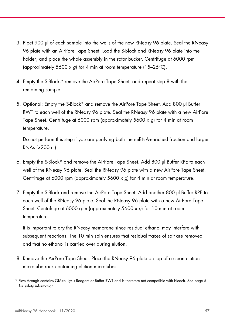- 3. Pipet 900 µl of each sample into the wells of the new RNeasy 96 plate. Seal the RNeasy 96 plate with an AirPore Tape Sheet. Load the S-Block and RNeasy 96 plate into the holder, and place the whole assembly in the rotor bucket. Centrifuge at 6000 rpm (approximately 5600 x g) for 4 min at room temperature (15–25 $^{\circ}$ C).
- 4. Empty the S-Block,\* remove the AirPore Tape Sheet, and repeat step 8 with the remaining sample.
- 5. Optional: Empty the S-Block\* and remove the AirPore Tape Sheet. Add 800 µl Buffer RWT to each well of the RNeasy 96 plate. Seal the RNeasy 96 plate with a new AirPore Tape Sheet. Centrifuge at 6000 rpm (approximately 5600 x g) for 4 min at room temperature.

Do not perform this step if you are purifying both the miRNA-enriched fraction and larger RNAs (>200 nt).

- 6. Empty the S-Block\* and remove the AirPore Tape Sheet. Add 800 µl Buffer RPE to each well of the RNeasy 96 plate. Seal the RNeasy 96 plate with a new AirPore Tape Sheet. Centrifuge at 6000 rpm (approximately 5600 x g) for 4 min at room temperature.
- 7. Empty the S-Block and remove the AirPore Tape Sheet. Add another 800 µl Buffer RPE to each well of the RNeasy 96 plate. Seal the RNeasy 96 plate with a new AirPore Tape Sheet. Centrifuge at 6000 rpm (approximately 5600 x q) for 10 min at room temperature.

It is important to dry the RNeasy membrane since residual ethanol may interfere with subsequent reactions. The 10 min spin ensures that residual traces of salt are removed and that no ethanol is carried over during elution.

- 8. Remove the AirPore Tape Sheet. Place the RNeasy 96 plate on top of a clean elution microtube rack containing elution microtubes.
- \* Flow-through contains QIAzol Lysis Reagent or Buffer RWT and is therefore not compatible with bleach. See page 5 for safety information.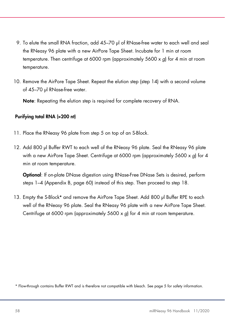- 9. To elute the small RNA fraction, add 45–70 µl of RNase-free water to each well and seal the RNeasy 96 plate with a new AirPore Tape Sheet. Incubate for 1 min at room temperature. Then centrifuge at 6000 rpm (approximately 5600 x g) for 4 min at room temperature.
- 10. Remove the AirPore Tape Sheet. Repeat the elution step (step 14) with a second volume of 45-70 µl RNase-free water.

Note: Repeating the elution step is required for complete recovery of RNA.

#### Purifying total RNA (>200 nt)

- 11. Place the RNeasy 96 plate from step 5 on top of an S-Block.
- 12. Add 800 µl Buffer RWT to each well of the RNeasy 96 plate. Seal the RNeasy 96 plate with a new AirPore Tape Sheet. Centrifuge at 6000 rpm (approximately 5600 x g) for 4 min at room temperature.

Optional: If on-plate DNase digestion using RNase-Free DNase Sets is desired, perform steps 1–4 (Appendix B, page 60) instead of this step. Then proceed to step 18.

13. Empty the S-Block\* and remove the AirPore Tape Sheet. Add 800 µl Buffer RPE to each well of the RNeasy 96 plate. Seal the RNeasy 96 plate with a new AirPore Tape Sheet. Centrifuge at 6000 rpm (approximately 5600 x g) for 4 min at room temperature.

<sup>\*</sup> Flow-through contains Buffer RWT and is therefore not compatible with bleach. See page 5 for safety information.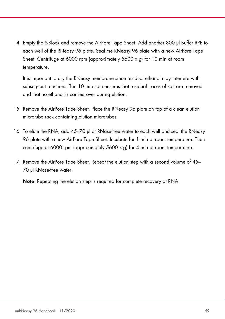14. Empty the S-Block and remove the AirPore Tape Sheet. Add another 800 µl Buffer RPE to each well of the RNeasy 96 plate. Seal the RNeasy 96 plate with a new AirPore Tape Sheet. Centrifuge at 6000 rpm (approximately 5600 x q) for 10 min at room temperature.

It is important to dry the RNeasy membrane since residual ethanol may interfere with subsequent reactions. The 10 min spin ensures that residual traces of salt are removed and that no ethanol is carried over during elution.

- 15. Remove the AirPore Tape Sheet. Place the RNeasy 96 plate on top of a clean elution microtube rack containing elution microtubes.
- 16. To elute the RNA, add 45–70 µl of RNase-free water to each well and seal the RNeasy 96 plate with a new AirPore Tape Sheet. Incubate for 1 min at room temperature. Then centrifuge at 6000 rpm (approximately 5600 x g) for 4 min at room temperature.
- 17. Remove the AirPore Tape Sheet. Repeat the elution step with a second volume of 45– 70 µl RNase-free water.

Note: Repeating the elution step is required for complete recovery of RNA.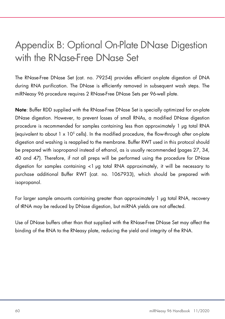## Appendix B: Optional On-Plate DNase Digestion with the RNase-Free DNase Set

The RNase-Free DNase Set (cat. no. 79254) provides efficient on-plate digestion of DNA during RNA purification. The DNase is efficiently removed in subsequent wash steps. The miRNeasy 96 procedure requires 2 RNase-Free DNase Sets per 96-well plate.

Note: Buffer RDD supplied with the RNase-Free DNase Set is specially optimized for on-plate DNase digestion. However, to prevent losses of small RNAs, a modified DNase digestion procedure is recommended for samples containing less than approximately 1 µg total RNA (equivalent to about  $1 \times 10^5$  cells). In the modified procedure, the flow-through after on-plate digestion and washing is reapplied to the membrane. Buffer RWT used in this protocol should be prepared with isopropanol instead of ethanol, as is usually recommended (pages 27, 34, 40 and 47). Therefore, if not all preps will be performed using the procedure for DNase digestion for samples containing <1 µg total RNA approximately, it will be necessary to purchase additional Buffer RWT (cat. no. 1067933), which should be prepared with isopropanol.

For larger sample amounts containing greater than approximately 1 µg total RNA, recovery of tRNA may be reduced by DNase digestion, but miRNA yields are not affected.

Use of DNase buffers other than that supplied with the RNase-Free DNase Set may affect the binding of the RNA to the RNeasy plate, reducing the yield and integrity of the RNA.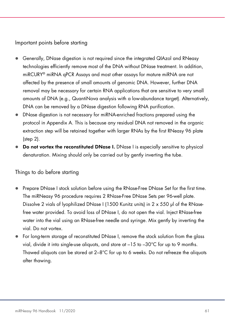## Important points before starting

- Generally, DNase digestion is not required since the integrated QIAzol and RNeasy technologies efficiently remove most of the DNA without DNase treatment. In addition, miRCURY® miRNA qPCR Assays and most other assays for mature miRNA are not affected by the presence of small amounts of genomic DNA. However, further DNA removal may be necessary for certain RNA applications that are sensitive to very small amounts of DNA (e.g., QuantiNova analysis with a low-abundance target). Alternatively, DNA can be removed by a DNase digestion following RNA purification.
- DNase digestion is not necessary for miRNA-enriched fractions prepared using the protocol in Appendix A. This is because any residual DNA not removed in the organic extraction step will be retained together with larger RNAs by the first RNeasy 96 plate (step 2).
- Do not vortex the reconstituted DNase I. DNase I is especially sensitive to physical denaturation. Mixing should only be carried out by gently inverting the tube.

### Things to do before starting

- Prepare DNase I stock solution before using the RNase-Free DNase Set for the first time. The miRNeasy 96 procedure requires 2 RNase-Free DNase Sets per 96-well plate. Dissolve 2 vials of lyophilized DNase I (1500 Kunitz units) in 2 x 550 µl of the RNasefree water provided. To avoid loss of DNase I, do not open the vial. Inject RNase-free water into the vial using an RNase-free needle and syringe. Mix gently by inverting the vial. Do not vortex.
- For long-term storage of reconstituted DNase I, remove the stock solution from the glass vial, divide it into single-use aliquots, and store at  $-15$  to  $-30^{\circ}$ C for up to 9 months. Thawed aliquots can be stored at  $2-8^{\circ}$ C for up to 6 weeks. Do not refreeze the aliquots after thawing.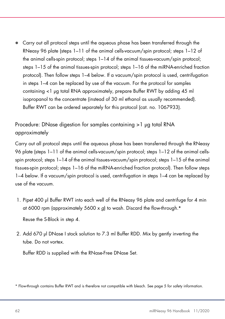Carry out all protocol steps until the aqueous phase has been transferred through the RNeasy 96 plate (steps 1–11 of the animal cells-vacuum/spin protocol; steps 1–12 of the animal cells-spin protocol; steps 1–14 of the animal tissues-vacuum/spin protocol; steps 1–15 of the animal tissues-spin protocol; steps 1–16 of the miRNA-enriched fraction protocol). Then follow steps 1–4 below. If a vacuum/spin protocol is used, centrifugation in steps 1–4 can be replaced by use of the vacuum. For the protocol for samples containing <1 µg total RNA approximately, prepare Buffer RWT by adding 45 ml isopropanol to the concentrate (instead of 30 ml ethanol as usually recommended). Buffer RWT can be ordered separately for this protocol (cat. no. 1067933).

## Procedure: DNase digestion for samples containing >1 µg total RNA approximately

Carry out all protocol steps until the aqueous phase has been transferred through the RNeasy 96 plate (steps 1–11 of the animal cells-vacuum/spin protocol; steps 1–12 of the animal cellsspin protocol; steps 1–14 of the animal tissues-vacuum/spin protocol; steps 1–15 of the animal tissues-spin protocol; steps 1–16 of the miRNA-enriched fraction protocol). Then follow steps 1–4 below. If a vacuum/spin protocol is used, centrifugation in steps 1–4 can be replaced by use of the vacuum.

1. Pipet 400 µl Buffer RWT into each well of the RNeasy 96 plate and centrifuge for 4 min at 6000 rpm (approximately 5600 x g) to wash. Discard the flow-through. $*$ 

Reuse the S-Block in step 4.

2. Add 670 µl DNase I stock solution to 7.3 ml Buffer RDD. Mix by gently inverting the tube. Do not vortex.

Buffer RDD is supplied with the RNase-Free DNase Set.

<sup>\*</sup> Flow-through contains Buffer RWT and is therefore not compatible with bleach. See page 5 for safety information.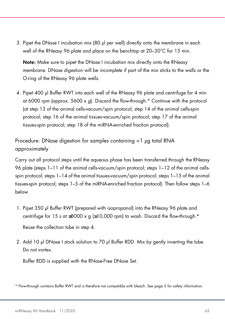3. Pipet the DNase I incubation mix (80 µl per well) directly onto the membrane in each well of the RNeasy 96 plate and place on the benchtop at 20–30°C for 15 min.

Note: Make sure to pipet the DNase I incubation mix directly onto the RNeasy membrane. DNase digestion will be incomplete if part of the mix sticks to the walls or the O-ring of the RNeasy 96 plate wells.

4. Pipet 400 µl Buffer RWT into each well of the RNeasy 96 plate and centrifuge for 4 min at 6000 rpm (approx. 5600 x q). Discard the flow-through.\* Continue with the protocol (at step 13 of the animal cells-vacuum/spin protocol; step 14 of the animal cells-spin protocol; step 16 of the animal tissues-vacuum/spin protocol; step 17 of the animal tissues-spin protocol; step 18 of the miRNA-enriched fraction protocol).

Procedure: DNase digestion for samples containing <1 µg total RNA approximately

Carry out all protocol steps until the aqueous phase has been transferred through the RNeasy 96 plate (steps 1–11 of the animal cells-vacuum/spin protocol; steps 1–12 of the animal cellsspin protocol; steps 1–14 of the animal tissues-vacuum/spin protocol; steps 1–15 of the animal tissues-spin protocol; steps 1–5 of the miRNA-enriched fraction protocol). Then follow steps 1–6 below.

1. Pipet 350 µl Buffer RWT (prepared with isopropanol) into the RNeasy 96 plate and centrifuge for 15 s at  $\geq 8000 \times g$  ( $\geq 10,000$  rpm) to wash. Discard the flow-through.\* Reuse the collection tube in step 4.

2. Add 10 µl DNase I stock solution to 70 µl Buffer RDD. Mix by gently inverting the tube.

Buffer RDD is supplied with the RNase-Free DNase Set.

Do not vortex.

<sup>\*</sup> Flow-through contains Buffer RWT and is therefore not compatible with bleach. See page 5 for safety information.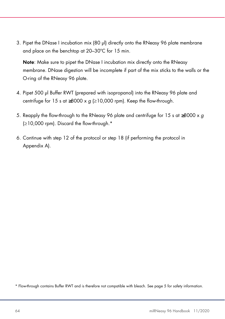3. Pipet the DNase I incubation mix (80 µl) directly onto the RNeasy 96 plate membrane and place on the benchtop at 20–30ºC for 15 min.

Note: Make sure to pipet the DNase I incubation mix directly onto the RNeasy membrane. DNase digestion will be incomplete if part of the mix sticks to the walls or the O-ring of the RNeasy 96 plate.

- 4. Pipet 500 µl Buffer RWT (prepared with isopropanol) into the RNeasy 96 plate and centrifuge for 15 s at  $\geq 8000 \times q \geq 10,000$  rpm). Keep the flow-through.
- 5. Reapply the flow-through to the RNeasy 96 plate and centrifuge for 15 s at ≥8000 x g (≥10,000 rpm). Discard the flow-through.\*
- 6. Continue with step 12 of the protocol or step 18 (if performing the protocol in Appendix A).

\* Flow-through contains Buffer RWT and is therefore not compatible with bleach. See page 5 for safety information.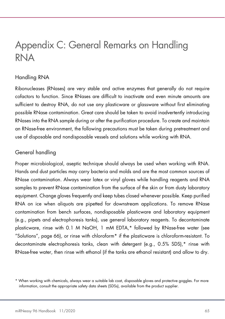## Appendix C: General Remarks on Handling RNA

## Handling RNA

Ribonucleases (RNases) are very stable and active enzymes that generally do not require cofactors to function. Since RNases are difficult to inactivate and even minute amounts are sufficient to destroy RNA, do not use any plasticware or glassware without first eliminating possible RNase contamination. Great care should be taken to avoid inadvertently introducing RNases into the RNA sample during or after the purification procedure. To create and maintain an RNase-free environment, the following precautions must be taken during pretreatment and use of disposable and nondisposable vessels and solutions while working with RNA.

## General handling

Proper microbiological, aseptic technique should always be used when working with RNA. Hands and dust particles may carry bacteria and molds and are the most common sources of RNase contamination. Always wear latex or vinyl gloves while handling reagents and RNA samples to prevent RNase contamination from the surface of the skin or from dusty laboratory equipment. Change gloves frequently and keep tubes closed whenever possible. Keep purified RNA on ice when aliquots are pipetted for downstream applications. To remove RNase contamination from bench surfaces, nondisposable plasticware and laboratory equipment (e.g., pipets and electrophoresis tanks), use general laboratory reagents. To decontaminate plasticware, rinse with 0.1 M NaOH, 1 mM EDTA,\* followed by RNase-free water (see "Solutions", page 66), or rinse with chloroform\* if the plasticware is chloroform-resistant. To decontaminate electrophoresis tanks, clean with detergent (e.g., 0.5% SDS),\* rinse with RNase-free water, then rinse with ethanol (if the tanks are ethanol resistant) and allow to dry.

<sup>\*</sup> When working with chemicals, always wear a suitable lab coat, disposable gloves and protective goggles. For more information, consult the appropriate safety data sheets (SDSs), available from the product supplier.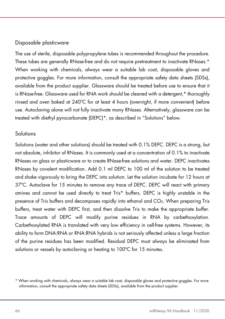## Disposable plasticware

The use of sterile, disposable polypropylene tubes is recommended throughout the procedure. These tubes are generally RNase-free and do not require pretreatment to inactivate RNases.\* When working with chemicals, always wear a suitable lab coat, disposable gloves and protective goggles. For more information, consult the appropriate safety data sheets (SDSs), available from the product supplier. Glassware should be treated before use to ensure that it is RNase-free. Glassware used for RNA work should be cleaned with a detergent,\* thoroughly rinsed and oven baked at 240ºC for at least 4 hours (overnight, if more convenient) before use. Autoclaving alone will not fully inactivate many RNases. Alternatively, glassware can be treated with diethyl pyrocarbonate (DEPC)\*, as described in "Solutions" below.

## Solutions

Solutions (water and other solutions) should be treated with 0.1% DEPC. DEPC is a strong, but not absolute, inhibitor of RNases. It is commonly used at a concentration of 0.1% to inactivate RNases on glass or plasticware or to create RNase-free solutions and water. DEPC inactivates RNases by covalent modification. Add 0.1 ml DEPC to 100 ml of the solution to be treated and shake vigorously to bring the DEPC into solution. Let the solution incubate for 12 hours at 37ºC. Autoclave for 15 minutes to remove any trace of DEPC. DEPC will react with primary amines and cannot be used directly to treat Tris\* buffers. DEPC is highly unstable in the presence of Tris buffers and decomposes rapidly into ethanol and CO2. When preparing Tris buffers, treat water with DEPC first, and then dissolve Tris to make the appropriate buffer. Trace amounts of DEPC will modify purine residues in RNA by carbethoxylation. Carbethoxylated RNA is translated with very low efficiency in cell-free systems. However, its ability to form DNA:RNA or RNA:RNA hybrids is not seriously affected unless a large fraction of the purine residues has been modified. Residual DEPC must always be eliminated from solutions or vessels by autoclaving or heating to 100°C for 15 minutes.

<sup>\*</sup> When working with chemicals, always wear a suitable lab coat, disposable gloves and protective goggles. For more information, consult the appropriate safety data sheets (SDSs), available from the product supplier.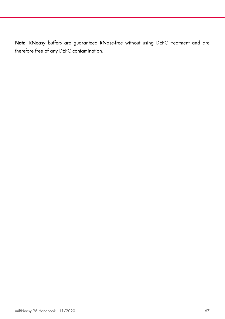Note: RNeasy buffers are guaranteed RNase-free without using DEPC treatment and are therefore free of any DEPC contamination.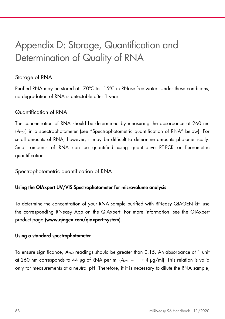## Appendix D: Storage, Quantification and Determination of Quality of RNA

## Storage of RNA

Purified RNA may be stored at –70ºC to –15ºC in RNase-free water. Under these conditions, no degradation of RNA is detectable after 1 year.

## Quantification of RNA

The concentration of RNA should be determined by measuring the absorbance at 260 nm (A260) in a spectrophotometer (see "Spectrophotometric quantification of RNA" below). For small amounts of RNA, however, it may be difficult to determine amounts photometrically. Small amounts of RNA can be quantified using quantitative RT-PCR or fluorometric quantification.

Spectrophotometric quantification of RNA

## Using the QIAxpert UV/VIS Spectrophotometer for microvolume analysis

To determine the concentration of your RNA sample purified with RNeasy QIAGEN kit, use the corresponding RNeasy App on the QIAxpert. For more information, see the QIAxpert product page (www.qiagen.com/qiaxpert-system).

### Using a standard spectrophotometer

To ensure significance,  $A_{260}$  readings should be greater than 0.15. An absorbance of 1 unit at 260 nm corresponds to 44 µg of RNA per ml  $(A_{260} = 1 \rightarrow 4 \text{ µg/ml})$ . This relation is valid only for measurements at a neutral pH. Therefore, if it is necessary to dilute the RNA sample,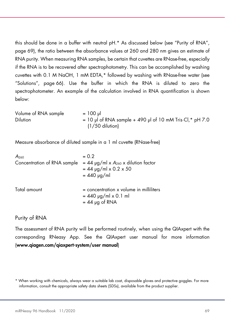this should be done in a buffer with neutral pH.\* As discussed below (see "Purity of RNA", page 69), the ratio between the absorbance values at 260 and 280 nm gives an estimate of RNA purity. When measuring RNA samples, be certain that cuvettes are RNase-free, especially if the RNA is to be recovered after spectrophotometry. This can be accomplished by washing cuvettes with 0.1 M NaOH, 1 mM EDTA,\* followed by washing with RNase-free water (see "Solutions", page 66). Use the buffer in which the RNA is diluted to zero the spectrophotometer. An example of the calculation involved in RNA quantification is shown below:

Volume of RNA sample  $= 100 \mu$ Dilution  $= 10 \text{ pl of RNA sample} + 490 \text{ pl of 10 mM Tris·Cl, * pH 7.0}$ (1/50 dilution)

Measure absorbance of diluted sample in a 1 ml cuvette (RNase-free)

| A <sub>260</sub>            | $= 0.2$                                                                                 |
|-----------------------------|-----------------------------------------------------------------------------------------|
| Concentration of RNA sample | $= 44$ µg/ml x $A_{260}$ x dilution factor<br>$= 44$ µg/ml x 0.2 x 50                   |
|                             | $= 440$ µg/ml                                                                           |
| Total amount                | $=$ concentration x volume in milliliters<br>$= 440$ µg/ml x 0.1 ml<br>$= 44$ µg of RNA |

## Purity of RNA

The assessment of RNA purity will be performed routinely, when using the QIAxpert with the corresponding RNeasy App. See the QIAxpert user manual for more information (www.qiagen.com/qiaxpert-system/user manual)

<sup>\*</sup> When working with chemicals, always wear a suitable lab coat, disposable gloves and protective goggles. For more information, consult the appropriate safety data sheets (SDSs), available from the product supplier.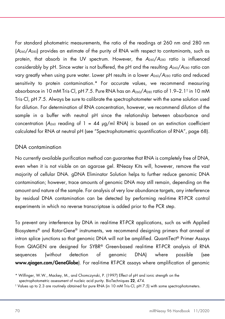For standard photometric measurements, the ratio of the readings at 260 nm and 280 nm (A260/A280) provides an estimate of the purity of RNA with respect to contaminants, such as protein, that absorb in the UV spectrum. However, the  $A_{260}/A_{280}$  ratio is influenced considerably by pH. Since water is not buffered, the pH and the resulting  $A_{260}/A_{280}$  ratio can vary greatly when using pure water. Lower pH results in a lower  $A_{260}/A_{280}$  ratio and reduced sensitivity to protein contamination.\* For accurate values, we recommend measuring absorbance in 10 mM Tris·Cl, pH 7.5. Pure RNA has an A260/A280 ratio of 1.9–2.1† in 10 mM Tris·Cl, pH 7.5. Always be sure to calibrate the spectrophotometer with the same solution used for dilution. For determination of RNA concentration, however, we recommend dilution of the sample in a buffer with neutral pH since the relationship between absorbance and concentration ( $A_{260}$  reading of 1 = 44  $\mu$ g/ml RNA) is based on an extinction coefficient calculated for RNA at neutral pH (see "Spectrophotometric quantification of RNA", page 68).

### DNA contamination

No currently available purification method can guarantee that RNA is completely free of DNA, even when it is not visible on an agarose gel. RNeasy Kits will, however, remove the vast majority of cellular DNA. gDNA Eliminator Solution helps to further reduce genomic DNA contamination; however, trace amounts of genomic DNA may still remain, depending on the amount and nature of the sample. For analysis of very low abundance targets, any interference by residual DNA contamination can be detected by performing real-time RT-PCR control experiments in which no reverse transcriptase is added prior to the PCR step.

To prevent any interference by DNA in real-time RT-PCR applications, such as with Applied Biosystems® and Rotor-Gene® instruments, we recommend designing primers that anneal at intron splice junctions so that genomic DNA will not be amplified. QuantiTect® Primer Assays from QIAGEN are designed for SYBR® Green-based real-time RT-PCR analysis of RNA sequences (without detection of genomic DNA) where possible (see www.qiagen.com/GeneGlobe). For real-time RT-PCR assays where amplification of genomic

<sup>\*</sup> Wilfinger, W.W., Mackey, M., and Chomczynski, P. (1997) Effect of pH and ionic strength on the spectrophotometric assessment of nucleic acid purity. BioTechniques 22, 474.

<sup>†</sup> Values up to 2.3 are routinely obtained for pure RNA (in 10 mM Tris·Cl, pH 7.5) with some spectrophotometers.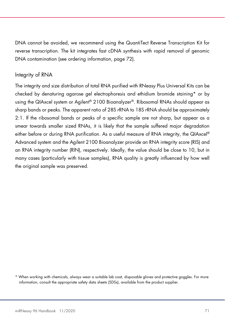DNA cannot be avoided, we recommend using the QuantiTect Reverse Transcription Kit for reverse transcription. The kit integrates fast cDNA synthesis with rapid removal of genomic DNA contamination (see ordering information, page 72).

## Integrity of RNA

The integrity and size distribution of total RNA purified with RNeasy Plus Universal Kits can be checked by denaturing agarose gel electrophoresis and ethidium bromide staining\* or by using the QIAxcel system or Agilent® 2100 Bioanalyzer®. Ribosomal RNAs should appear as sharp bands or peaks. The apparent ratio of 28S rRNA to 18S rRNA should be approximately 2:1. If the ribosomal bands or peaks of a specific sample are not sharp, but appear as a smear towards smaller sized RNAs, it is likely that the sample suffered major degradation either before or during RNA purification. As a useful measure of RNA integrity, the QIAxcel® Advanced system and the Agilent 2100 Bioanalyzer provide an RNA integrity score (RIS) and an RNA integrity number (RIN), respectively. Ideally, the value should be close to 10, but in many cases (particularly with tissue samples), RNA quality is greatly influenced by how well the original sample was preserved.

<sup>\*</sup> When working with chemicals, always wear a suitable lab coat, disposable gloves and protective goggles. For more information, consult the appropriate safety data sheets (SDSs), available from the product supplier.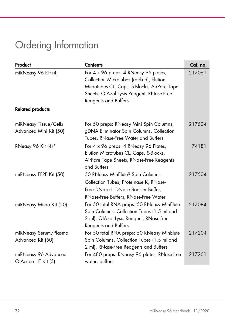# Ordering Information

| Product                                         | <b>Contents</b>                                                                                                                                                                                            | Cat. no. |
|-------------------------------------------------|------------------------------------------------------------------------------------------------------------------------------------------------------------------------------------------------------------|----------|
| miRNeasy 96 Kit (4)                             | For 4 x 96 preps: 4 RNeasy 96 plates,<br>Collection Microtubes (racked), Elution<br>Microtubes CL, Caps, S-Blocks, AirPore Tape<br>Sheets, QIAzol Lysis Reagent, RNase-Free<br><b>Reagents and Buffers</b> | 217061   |
| <b>Related products</b>                         |                                                                                                                                                                                                            |          |
| miRNeasy Tissue/Cells<br>Advanced Mini Kit (50) | For 50 preps: RNeasy Mini Spin Columns,<br>gDNA Eliminator Spin Columns, Collection<br>Tubes, RNase-Free Water and Buffers                                                                                 | 217604   |
| RNeasy 96 Kit (4)*                              | For 4 x 96 preps: 4 RNeasy 96 Plates,<br>Elution Microtubes CL, Caps, S-Blocks,<br>AirPore Tape Sheets, RNase-Free Reagents<br>and Buffers                                                                 | 74181    |
| miRNeasy FFPE Kit (50)                          | 50 RNeasy MinElute® Spin Columns,<br>Collection Tubes, Proteinase K, RNase-<br>Free DNase I, DNase Booster Buffer,<br>RNase-Free Buffers, RNase-Free Water                                                 | 217504   |
| miRNeasy Micro Kit (50)                         | For 50 total RNA preps: 50 RNeasy MinElute<br>Spin Columns, Collection Tubes (1.5 ml and<br>2 ml), QIAzol Lysis Reagent, RNase-free<br><b>Reagents and Buffers</b>                                         | 217084   |
| miRNeasy Serum/Plasma<br>Advanced Kit (50)      | For 50 total RNA preps: 50 RNeasy MinElute<br>Spin Columns, Collection Tubes (1.5 ml and<br>2 ml), RNase-Free Reagents and Buffers                                                                         | 217204   |
| miRNeasy 96 Advanced<br>QIAcube HT Kit (5)      | For 480 preps: RNeasy 96 plates, RNase-free<br>water, buffers                                                                                                                                              | 217261   |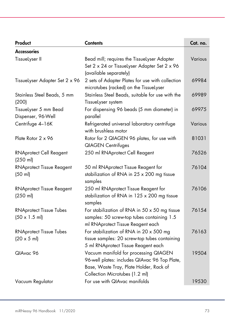| Product                                                        | <b>Contents</b>                                                                                                                                                     | Cat. no. |
|----------------------------------------------------------------|---------------------------------------------------------------------------------------------------------------------------------------------------------------------|----------|
| <b>Accessories</b>                                             |                                                                                                                                                                     |          |
| TissueLyser II                                                 | Bead mill; requires the TissueLyser Adapter<br>Set 2 x 24 or Tissuelyser Adapter Set 2 x 96<br>(available separately)                                               | Various  |
| Tissuelyser Adapter Set 2 x 96                                 | 2 sets of Adapter Plates for use with collection<br>microtubes (racked) on the TissueLyser                                                                          | 69984    |
| Stainless Steel Beads, 5 mm<br>(200)                           | Stainless Steel Beads, suitable for use with the<br>Tissuelyser system                                                                                              | 69989    |
| TissueLyser 5 mm Bead<br>Dispenser, 96-Well                    | For dispensing 96 beads (5 mm diameter) in<br>parallel                                                                                                              | 69975    |
| Centrifuge 4-16K                                               | Refrigerated universal laboratory centrifuge<br>with brushless motor                                                                                                | Various  |
| Plate Rotor 2 x 96                                             | Rotor for 2 QIAGEN 96 plates, for use with<br><b>QIAGEN Centrifuges</b>                                                                                             | 81031    |
| <b>RNAprotect Cell Reagent</b><br>(250 ml)                     | 250 ml RNAprotect Cell Reagent                                                                                                                                      | 76526    |
| <b>RNAprotect Tissue Reagent</b><br>(50 ml)                    | 50 ml RNAprotect Tissue Reagent for<br>stabilization of RNA in 25 x 200 mg tissue<br>samples                                                                        | 76104    |
| <b>RNAprotect Tissue Reagent</b><br>(250 ml)                   | 250 ml RNAprotect Tissue Reagent for<br>stabilization of RNA in 125 x 200 mg tissue<br>samples                                                                      | 76106    |
| <b>RNAprotect Tissue Tubes</b><br>$(50 \times 1.5 \text{ ml})$ | For stabilization of RNA in $50 \times 50$ mg tissue<br>samples: 50 screw-top tubes containing 1.5<br>ml RNAprotect Tissue Reagent each                             | 76154    |
| <b>RNAprotect Tissue Tubes</b><br>$(20 \times 5 \text{ ml})$   | For stabilization of RNA in 20 x 500 mg<br>tissue samples: 20 screw-top tubes containing<br>5 ml RNAprotect Tissue Reagent each                                     | 76163    |
| QIAvac 96                                                      | Vacuum manifold for processing QIAGEN<br>96-well plates: includes QIAvac 96 Top Plate,<br>Base, Waste Tray, Plate Holder, Rack of<br>Collection Microtubes (1.2 ml) | 19504    |
| Vacuum Regulator                                               | For use with QIAvac manifolds                                                                                                                                       | 19530    |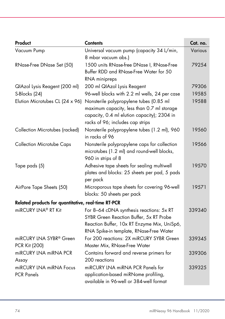| Product                                             | <b>Contents</b>                                                                                                                                                               | Cat. no. |  |
|-----------------------------------------------------|-------------------------------------------------------------------------------------------------------------------------------------------------------------------------------|----------|--|
| Vacuum Pump                                         | Universal vacuum pump (capacity 34 L/min,<br>8 mbar vacuum abs.)                                                                                                              | Various  |  |
| RNase-Free DNase Set (50)                           | 1500 units RNase-free DNase I, RNase-Free<br>Buffer RDD and RNase-Free Water for 50                                                                                           | 79254    |  |
|                                                     | RNA minipreps                                                                                                                                                                 |          |  |
| QIAzol Lysis Reagent (200 ml)                       | 200 ml QIAzol Lysis Reagent                                                                                                                                                   | 79306    |  |
| S-Blocks (24)                                       | 96-well blocks with 2.2 ml wells, 24 per case                                                                                                                                 | 19585    |  |
| Elution Microtubes CL (24 x 96)                     | Nonsterile polypropylene tubes (0.85 ml<br>maximum capacity, less than 0.7 ml storage<br>capacity, 0.4 ml elution capacity); 2304 in<br>racks of 96; includes cap strips      | 19588    |  |
| Collection Microtubes (racked)                      | Nonsterile polypropylene tubes (1.2 ml), 960<br>in racks of 96                                                                                                                | 19560    |  |
| <b>Collection Microtube Caps</b>                    | Nonsterile polypropylene caps for collection<br>microtubes (1.2 ml) and round-well blocks,<br>960 in strips of 8                                                              | 19566    |  |
| Tape pads (5)                                       | Adhesive tape sheets for sealing multiwell<br>plates and blocks: 25 sheets per pad, 5 pads<br>per pack                                                                        | 19570    |  |
| AirPore Tape Sheets (50)                            | Microporous tape sheets for covering 96-well<br>blocks: 50 sheets per pack                                                                                                    | 19571    |  |
| Related products for quantitative, real-time RT-PCR |                                                                                                                                                                               |          |  |
| miRCURY LNA® RT Kit                                 | For 8-64 cDNA synthesis reactions: 5x RT<br>SYBR Green Reaction Buffer, 5x RT Probe<br>Reaction Buffer, 10x RT Enzyme Mix, UniSp6,<br>RNA Spike-in template, RNase-Free Water | 339340   |  |
| miRCURY LNA SYBR® Green                             | For 200 reactions: 2X miRCURY SYBR Green                                                                                                                                      | 339345   |  |
| PCR Kit (200)                                       | Master Mix, RNase-Free Water                                                                                                                                                  |          |  |
| miRCURY LNA miRNA PCR<br>Assay                      | Contains forward and reverse primers for<br>200 reactions                                                                                                                     | 339306   |  |
| miRCURY LNA miRNA Focus<br><b>PCR Panels</b>        | miRCURY LNA miRNA PCR Panels for<br>application-based miRNome profiling,<br>available in 96-well or 384-well format                                                           | 339325   |  |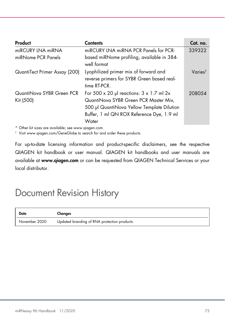| Product                                | <b>Contents</b>                                                                                                                                                                              | Cat. no.            |
|----------------------------------------|----------------------------------------------------------------------------------------------------------------------------------------------------------------------------------------------|---------------------|
| miRCURY LNA miRNA                      | miRCURY LNA miRNA PCR Panels for PCR-                                                                                                                                                        | 339322              |
| miRNome PCR Panels                     | based miRNome profiling, available in 384-<br>well format                                                                                                                                    |                     |
| QuantiTect Primer Assay (200)          | Lyophilized primer mix of forward and<br>reverse primers for SYBR Green based real-<br>time RT-PCR.                                                                                          | Varies <sup>†</sup> |
| QuantiNova SYBR Green PCR<br>Kit (500) | For 500 x 20 µl reactions: $3 \times 1.7$ ml 2x<br>QuantiNova SYBR Green PCR Master Mix,<br>500 µl QuantiNova Yellow Template Dilution<br>Buffer, 1 ml QN ROX Reference Dye, 1.9 ml<br>Water | 208054              |

\* Other kit sizes are available; see www.qiagen.com.

† Visit www.qiagen.com/GeneGlobe to search for and order these products.

For up-to-date licensing information and product-specific disclaimers, see the respective QIAGEN kit handbook or user manual. QIAGEN kit handbooks and user manuals are available at www.qiagen.com or can be requested from QIAGEN Technical Services or your local distributor.

## Document Revision History

| Date          | Changes                                      |
|---------------|----------------------------------------------|
| November 2020 | Updated branding of RNA protection products. |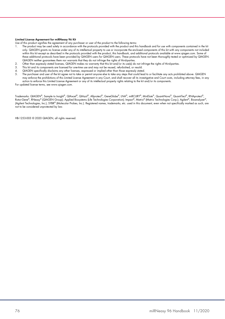## Limited License Agreement for miRNeasy 96 Kit

Use of this product signifies the agreement of any purchaser or user of the product to the following terms:

- 1. The product may be used solely in accordance with the protocols provided with the product and this handbook and for use with components contained in the kit only. QIAGEN grants no license under any of its intellectual property to use or incorporate the enclosed components of this kit with any components not included within this kit except as described in the protocols provided with the product, this handbook, and additional protocols available at www.qiagen.com. Some of these additional protocols have been provided by QIAGEN users for QIAGEN users. These protocols have not been thoroughly tested or optimized by QIAGEN. QIAGEN neither guarantees them nor warrants that they do not infringe the rights of third-parties.
- 2. Other than expressly stated licenses, QIAGEN makes no warranty that this kit and/or its use(s) do not infringe the rights of third-parties.<br>3. This kit and its components are licensed for one-time use and may not be reu
- This kit and its components are licensed for one-time use and may not be reused, refurbished, or resold.
- 4. QIAGEN specifically disclaims any other licenses, expressed or implied other than those expressly stated.<br>5. The nurchaser and user of the kit garee not to take or permit anyone else to take any steps that could lead
- 5. The purchaser and user of the kit agree not to take or permit anyone else to take any steps that could lead to or facilitate any acts prohibited above. QIAGEN may enforce the prohibitions of this Limited License Agreement in any Court, and shall recover all its investigative and Court costs, including attorney fees, in any action to enforce this Limited License Agreement or any of its intellectual property rights relating to the kit and/or its components.

For updated license terms, see www.qiagen.com.

Trademarks: QIAGEN®, Sample to Insight®, QIAxcel®, QIAzol®, Allprotect®, GeneGlobe®, LNA®, miRCURY®, MinElute®, QuantiNova®, QuantiTect®, RNAprotect®, Rotor-Gene®, RNeasy® (QIAGEN Group); Applied Biosystems (Life Technologies Corporation); Impact®, Matrix® (Matrix Technologies Corp.); Agilent®, Bioanalyzer®,<br>(Agilent Technologies, Inc.); SYBR® (Molecular Probes, Inc.). R not to be considered unprotected by law.

HB-1253-003 © 2020 QIAGEN, all rights reserved.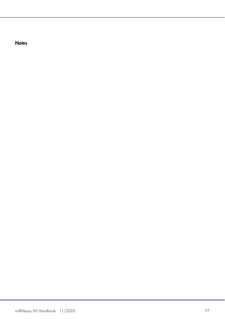**Notes**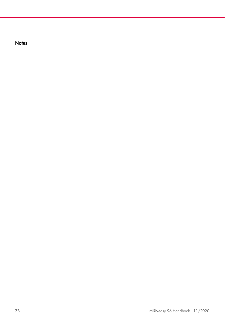**Notes**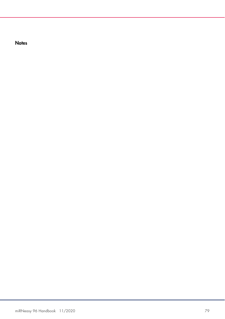**Notes**